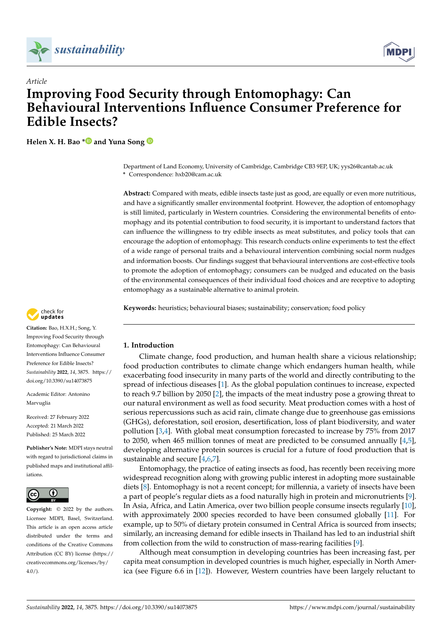



# *Article* **Improving Food Security through Entomophagy: Can Behavioural Interventions Influence Consumer Preference for Edible Insects?**

**Helen X. H. Bao [\\*](https://orcid.org/0000-0003-3966-3867) and Yuna Song**

Department of Land Economy, University of Cambridge, Cambridge CB3 9EP, UK; yys26@cantab.ac.uk **\*** Correspondence: hxb20@cam.ac.uk

**Abstract:** Compared with meats, edible insects taste just as good, are equally or even more nutritious, and have a significantly smaller environmental footprint. However, the adoption of entomophagy is still limited, particularly in Western countries. Considering the environmental benefits of entomophagy and its potential contribution to food security, it is important to understand factors that can influence the willingness to try edible insects as meat substitutes, and policy tools that can encourage the adoption of entomophagy. This research conducts online experiments to test the effect of a wide range of personal traits and a behavioural intervention combining social norm nudges and information boosts. Our findings suggest that behavioural interventions are cost-effective tools to promote the adoption of entomophagy; consumers can be nudged and educated on the basis of the environmental consequences of their individual food choices and are receptive to adopting entomophagy as a sustainable alternative to animal protein.

**Keywords:** heuristics; behavioural biases; sustainability; conservation; food policy



Climate change, food production, and human health share a vicious relationship; food production contributes to climate change which endangers human health, while exacerbating food insecurity in many parts of the world and directly contributing to the spread of infectious diseases [\[1\]](#page-16-0). As the global population continues to increase, expected to reach 9.7 billion by 2050 [\[2\]](#page-16-1), the impacts of the meat industry pose a growing threat to our natural environment as well as food security. Meat production comes with a host of serious repercussions such as acid rain, climate change due to greenhouse gas emissions (GHGs), deforestation, soil erosion, desertification, loss of plant biodiversity, and water pollution [\[3](#page-16-2)[,4\]](#page-16-3). With global meat consumption forecasted to increase by 75% from 2017 to 2050, when 465 million tonnes of meat are predicted to be consumed annually [\[4,](#page-16-3)[5\]](#page-16-4), developing alternative protein sources is crucial for a future of food production that is sustainable and secure [\[4,](#page-16-3)[6](#page-16-5)[,7\]](#page-16-6).

Entomophagy, the practice of eating insects as food, has recently been receiving more widespread recognition along with growing public interest in adopting more sustainable diets [\[8\]](#page-16-7). Entomophagy is not a recent concept; for millennia, a variety of insects have been a part of people's regular diets as a food naturally high in protein and micronutrients [\[9\]](#page-16-8). In Asia, Africa, and Latin America, over two billion people consume insects regularly [\[10\]](#page-16-9), with approximately 2000 species recorded to have been consumed globally [\[11\]](#page-16-10). For example, up to 50% of dietary protein consumed in Central Africa is sourced from insects; similarly, an increasing demand for edible insects in Thailand has led to an industrial shift from collection from the wild to construction of mass-rearing facilities [\[9\]](#page-16-8).

Although meat consumption in developing countries has been increasing fast, per capita meat consumption in developed countries is much higher, especially in North America (see Figure 6.6 in [\[12\]](#page-16-11)). However, Western countries have been largely reluctant to



**Citation:** Bao, H.X.H.; Song, Y. Improving Food Security through Entomophagy: Can Behavioural Interventions Influence Consumer Preference for Edible Insects? *Sustainability* **2022**, *14*, 3875. [https://](https://doi.org/10.3390/su14073875) [doi.org/10.3390/su14073875](https://doi.org/10.3390/su14073875)

Academic Editor: Antonino Marvuglia

Received: 27 February 2022 Accepted: 21 March 2022 Published: 25 March 2022

**Publisher's Note:** MDPI stays neutral with regard to jurisdictional claims in published maps and institutional affiliations.



**Copyright:** © 2022 by the authors. Licensee MDPI, Basel, Switzerland. This article is an open access article distributed under the terms and conditions of the Creative Commons Attribution (CC BY) license [\(https://](https://creativecommons.org/licenses/by/4.0/) [creativecommons.org/licenses/by/](https://creativecommons.org/licenses/by/4.0/)  $4.0/$ ).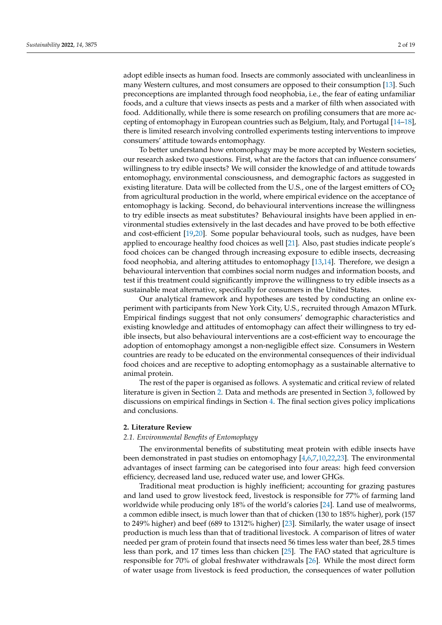adopt edible insects as human food. Insects are commonly associated with uncleanliness in many Western cultures, and most consumers are opposed to their consumption [\[13\]](#page-16-12). Such preconceptions are implanted through food neophobia, i.e., the fear of eating unfamiliar foods, and a culture that views insects as pests and a marker of filth when associated with food. Additionally, while there is some research on profiling consumers that are more accepting of entomophagy in European countries such as Belgium, Italy, and Portugal [\[14–](#page-16-13)[18\]](#page-16-14), there is limited research involving controlled experiments testing interventions to improve consumers' attitude towards entomophagy.

To better understand how entomophagy may be more accepted by Western societies, our research asked two questions. First, what are the factors that can influence consumers' willingness to try edible insects? We will consider the knowledge of and attitude towards entomophagy, environmental consciousness, and demographic factors as suggested in existing literature. Data will be collected from the U.S., one of the largest emitters of  $CO<sub>2</sub>$ from agricultural production in the world, where empirical evidence on the acceptance of entomophagy is lacking. Second, do behavioural interventions increase the willingness to try edible insects as meat substitutes? Behavioural insights have been applied in environmental studies extensively in the last decades and have proved to be both effective and cost-efficient [\[19](#page-16-15)[,20\]](#page-17-0). Some popular behavioural tools, such as nudges, have been applied to encourage healthy food choices as well [\[21\]](#page-17-1). Also, past studies indicate people's food choices can be changed through increasing exposure to edible insects, decreasing food neophobia, and altering attitudes to entomophagy [\[13,](#page-16-12)[14\]](#page-16-13). Therefore, we design a behavioural intervention that combines social norm nudges and information boosts, and test if this treatment could significantly improve the willingness to try edible insects as a sustainable meat alternative, specifically for consumers in the United States.

Our analytical framework and hypotheses are tested by conducting an online experiment with participants from New York City, U.S., recruited through Amazon MTurk. Empirical findings suggest that not only consumers' demographic characteristics and existing knowledge and attitudes of entomophagy can affect their willingness to try edible insects, but also behavioural interventions are a cost-efficient way to encourage the adoption of entomophagy amongst a non-negligible effect size. Consumers in Western countries are ready to be educated on the environmental consequences of their individual food choices and are receptive to adopting entomophagy as a sustainable alternative to animal protein.

The rest of the paper is organised as follows. A systematic and critical review of related literature is given in Section [2.](#page-1-0) Data and methods are presented in Section [3,](#page-4-0) followed by discussions on empirical findings in Section [4.](#page-6-0) The final section gives policy implications and conclusions.

## <span id="page-1-0"></span>**2. Literature Review**

# *2.1. Environmental Benefits of Entomophagy*

The environmental benefits of substituting meat protein with edible insects have been demonstrated in past studies on entomophagy [\[4](#page-16-3)[,6,](#page-16-5)[7](#page-16-6)[,10,](#page-16-9)[22](#page-17-2)[,23\]](#page-17-3). The environmental advantages of insect farming can be categorised into four areas: high feed conversion efficiency, decreased land use, reduced water use, and lower GHGs.

Traditional meat production is highly inefficient; accounting for grazing pastures and land used to grow livestock feed, livestock is responsible for 77% of farming land worldwide while producing only 18% of the world's calories [\[24\]](#page-17-4). Land use of mealworms, a common edible insect, is much lower than that of chicken (130 to 185% higher), pork (157 to 249% higher) and beef (689 to 1312% higher) [\[23\]](#page-17-3). Similarly, the water usage of insect production is much less than that of traditional livestock. A comparison of litres of water needed per gram of protein found that insects need 56 times less water than beef, 28.5 times less than pork, and 17 times less than chicken [\[25\]](#page-17-5). The FAO stated that agriculture is responsible for 70% of global freshwater withdrawals [\[26\]](#page-17-6). While the most direct form of water usage from livestock is feed production, the consequences of water pollution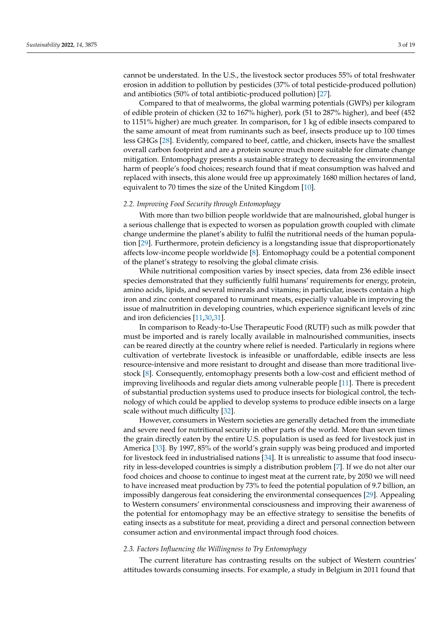cannot be understated. In the U.S., the livestock sector produces 55% of total freshwater erosion in addition to pollution by pesticides (37% of total pesticide-produced pollution) and antibiotics (50% of total antibiotic-produced pollution) [\[27\]](#page-17-7).

Compared to that of mealworms, the global warming potentials (GWPs) per kilogram of edible protein of chicken (32 to 167% higher), pork (51 to 287% higher), and beef (452 to 1151% higher) are much greater. In comparison, for 1 kg of edible insects compared to the same amount of meat from ruminants such as beef, insects produce up to 100 times less GHGs [\[28\]](#page-17-8). Evidently, compared to beef, cattle, and chicken, insects have the smallest overall carbon footprint and are a protein source much more suitable for climate change mitigation. Entomophagy presents a sustainable strategy to decreasing the environmental harm of people's food choices; research found that if meat consumption was halved and replaced with insects, this alone would free up approximately 1680 million hectares of land, equivalent to 70 times the size of the United Kingdom [\[10\]](#page-16-9).

#### *2.2. Improving Food Security through Entomophagy*

With more than two billion people worldwide that are malnourished, global hunger is a serious challenge that is expected to worsen as population growth coupled with climate change undermine the planet's ability to fulfil the nutritional needs of the human population [\[29\]](#page-17-9). Furthermore, protein deficiency is a longstanding issue that disproportionately affects low-income people worldwide [\[8\]](#page-16-7). Entomophagy could be a potential component of the planet's strategy to resolving the global climate crisis.

While nutritional composition varies by insect species, data from 236 edible insect species demonstrated that they sufficiently fulfil humans' requirements for energy, protein, amino acids, lipids, and several minerals and vitamins; in particular, insects contain a high iron and zinc content compared to ruminant meats, especially valuable in improving the issue of malnutrition in developing countries, which experience significant levels of zinc and iron deficiencies [\[11](#page-16-10)[,30](#page-17-10)[,31\]](#page-17-11).

In comparison to Ready-to-Use Therapeutic Food (RUTF) such as milk powder that must be imported and is rarely locally available in malnourished communities, insects can be reared directly at the country where relief is needed. Particularly in regions where cultivation of vertebrate livestock is infeasible or unaffordable, edible insects are less resource-intensive and more resistant to drought and disease than more traditional livestock [\[8\]](#page-16-7). Consequently, entomophagy presents both a low-cost and efficient method of improving livelihoods and regular diets among vulnerable people [\[11\]](#page-16-10). There is precedent of substantial production systems used to produce insects for biological control, the technology of which could be applied to develop systems to produce edible insects on a large scale without much difficulty [\[32\]](#page-17-12).

However, consumers in Western societies are generally detached from the immediate and severe need for nutritional security in other parts of the world. More than seven times the grain directly eaten by the entire U.S. population is used as feed for livestock just in America [\[33\]](#page-17-13). By 1997, 85% of the world's grain supply was being produced and imported for livestock feed in industrialised nations [\[34\]](#page-17-14). It is unrealistic to assume that food insecurity in less-developed countries is simply a distribution problem [\[7\]](#page-16-6). If we do not alter our food choices and choose to continue to ingest meat at the current rate, by 2050 we will need to have increased meat production by 73% to feed the potential population of 9.7 billion, an impossibly dangerous feat considering the environmental consequences [\[29\]](#page-17-9). Appealing to Western consumers' environmental consciousness and improving their awareness of the potential for entomophagy may be an effective strategy to sensitise the benefits of eating insects as a substitute for meat, providing a direct and personal connection between consumer action and environmental impact through food choices.

#### *2.3. Factors Influencing the Willingness to Try Entomophagy*

The current literature has contrasting results on the subject of Western countries' attitudes towards consuming insects. For example, a study in Belgium in 2011 found that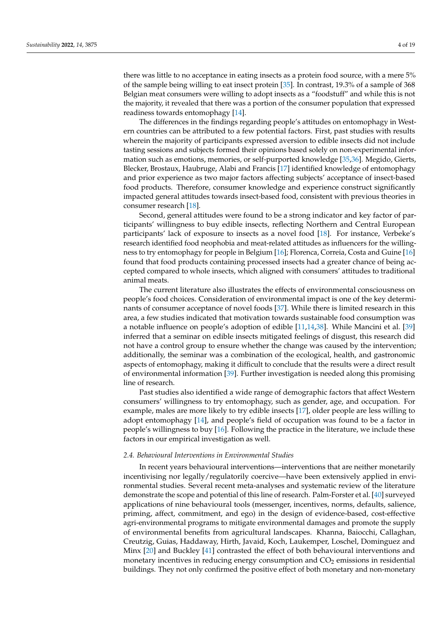there was little to no acceptance in eating insects as a protein food source, with a mere 5% of the sample being willing to eat insect protein [\[35\]](#page-17-15). In contrast, 19.3% of a sample of 368 Belgian meat consumers were willing to adopt insects as a "foodstuff" and while this is not the majority, it revealed that there was a portion of the consumer population that expressed readiness towards entomophagy [\[14\]](#page-16-13).

The differences in the findings regarding people's attitudes on entomophagy in Western countries can be attributed to a few potential factors. First, past studies with results wherein the majority of participants expressed aversion to edible insects did not include tasting sessions and subjects formed their opinions based solely on non-experimental information such as emotions, memories, or self-purported knowledge [\[35,](#page-17-15)[36\]](#page-17-16). Megido, Gierts, Blecker, Brostaux, Haubruge, Alabi and Francis [\[17\]](#page-16-16) identified knowledge of entomophagy and prior experience as two major factors affecting subjects' acceptance of insect-based food products. Therefore, consumer knowledge and experience construct significantly impacted general attitudes towards insect-based food, consistent with previous theories in consumer research [\[18\]](#page-16-14).

Second, general attitudes were found to be a strong indicator and key factor of participants' willingness to buy edible insects, reflecting Northern and Central European participants' lack of exposure to insects as a novel food [\[18\]](#page-16-14). For instance, Verbeke's research identified food neophobia and meat-related attitudes as influencers for the willingness to try entomophagy for people in Belgium [\[16\]](#page-16-17); Florenca, Correia, Costa and Guine [\[16\]](#page-16-17) found that food products containing processed insects had a greater chance of being accepted compared to whole insects, which aligned with consumers' attitudes to traditional animal meats.

The current literature also illustrates the effects of environmental consciousness on people's food choices. Consideration of environmental impact is one of the key determinants of consumer acceptance of novel foods [\[37\]](#page-17-17). While there is limited research in this area, a few studies indicated that motivation towards sustainable food consumption was a notable influence on people's adoption of edible [\[11,](#page-16-10)[14,](#page-16-13)[38\]](#page-17-18). While Mancini et al. [\[39\]](#page-17-19) inferred that a seminar on edible insects mitigated feelings of disgust, this research did not have a control group to ensure whether the change was caused by the intervention; additionally, the seminar was a combination of the ecological, health, and gastronomic aspects of entomophagy, making it difficult to conclude that the results were a direct result of environmental information [\[39\]](#page-17-19). Further investigation is needed along this promising line of research.

Past studies also identified a wide range of demographic factors that affect Western consumers' willingness to try entomophagy, such as gender, age, and occupation. For example, males are more likely to try edible insects [\[17\]](#page-16-16), older people are less willing to adopt entomophagy [\[14\]](#page-16-13), and people's field of occupation was found to be a factor in people's willingness to buy [\[16\]](#page-16-17). Following the practice in the literature, we include these factors in our empirical investigation as well.

#### *2.4. Behavioural Interventions in Environmental Studies*

In recent years behavioural interventions—interventions that are neither monetarily incentivising nor legally/regulatorily coercive—have been extensively applied in environmental studies. Several recent meta-analyses and systematic review of the literature demonstrate the scope and potential of this line of research. Palm-Forster et al. [\[40\]](#page-17-20) surveyed applications of nine behavioural tools (messenger, incentives, norms, defaults, salience, priming, affect, commitment, and ego) in the design of evidence-based, cost-effective agri-environmental programs to mitigate environmental damages and promote the supply of environmental benefits from agricultural landscapes. Khanna, Baiocchi, Callaghan, Creutzig, Guias, Haddaway, Hirth, Javaid, Koch, Laukemper, Loschel, Dominguez and Minx [\[20\]](#page-17-0) and Buckley [\[41\]](#page-17-21) contrasted the effect of both behavioural interventions and monetary incentives in reducing energy consumption and  $CO<sub>2</sub>$  emissions in residential buildings. They not only confirmed the positive effect of both monetary and non-monetary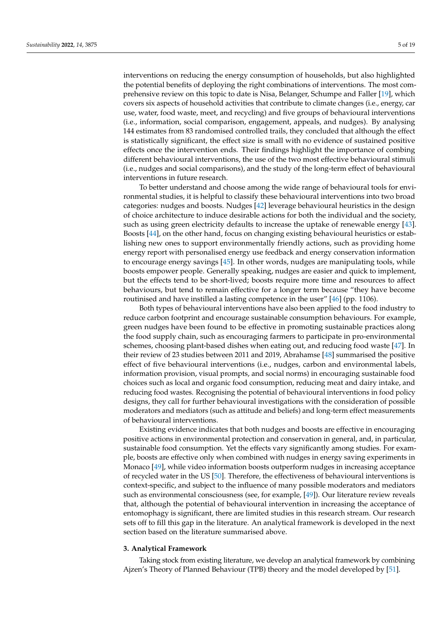interventions on reducing the energy consumption of households, but also highlighted the potential benefits of deploying the right combinations of interventions. The most comprehensive review on this topic to date is Nisa, Belanger, Schumpe and Faller [\[19\]](#page-16-15), which covers six aspects of household activities that contribute to climate changes (i.e., energy, car use, water, food waste, meet, and recycling) and five groups of behavioural interventions (i.e., information, social comparison, engagement, appeals, and nudges). By analysing 144 estimates from 83 randomised controlled trails, they concluded that although the effect is statistically significant, the effect size is small with no evidence of sustained positive effects once the intervention ends. Their findings highlight the importance of combing different behavioural interventions, the use of the two most effective behavioural stimuli (i.e., nudges and social comparisons), and the study of the long-term effect of behavioural interventions in future research.

To better understand and choose among the wide range of behavioural tools for environmental studies, it is helpful to classify these behavioural interventions into two broad categories: nudges and boosts. Nudges [\[42\]](#page-17-22) leverage behavioural heuristics in the design of choice architecture to induce desirable actions for both the individual and the society, such as using green electricity defaults to increase the uptake of renewable energy [\[43\]](#page-17-23). Boosts [\[44\]](#page-17-24), on the other hand, focus on changing existing behavioural heuristics or establishing new ones to support environmentally friendly actions, such as providing home energy report with personalised energy use feedback and energy conservation information to encourage energy savings [\[45\]](#page-17-25). In other words, nudges are manipulating tools, while boosts empower people. Generally speaking, nudges are easier and quick to implement, but the effects tend to be short-lived; boosts require more time and resources to affect behaviours, but tend to remain effective for a longer term because "they have become routinised and have instilled a lasting competence in the user" [\[46\]](#page-17-26) (pp. 1106).

Both types of behavioural interventions have also been applied to the food industry to reduce carbon footprint and encourage sustainable consumption behaviours. For example, green nudges have been found to be effective in promoting sustainable practices along the food supply chain, such as encouraging farmers to participate in pro-environmental schemes, choosing plant-based dishes when eating out, and reducing food waste [\[47\]](#page-17-27). In their review of 23 studies between 2011 and 2019, Abrahamse [\[48\]](#page-17-28) summarised the positive effect of five behavioural interventions (i.e., nudges, carbon and environmental labels, information provision, visual prompts, and social norms) in encouraging sustainable food choices such as local and organic food consumption, reducing meat and dairy intake, and reducing food wastes. Recognising the potential of behavioural interventions in food policy designs, they call for further behavioural investigations with the consideration of possible moderators and mediators (such as attitude and beliefs) and long-term effect measurements of behavioural interventions.

Existing evidence indicates that both nudges and boosts are effective in encouraging positive actions in environmental protection and conservation in general, and, in particular, sustainable food consumption. Yet the effects vary significantly among studies. For example, boosts are effective only when combined with nudges in energy saving experiments in Monaco [\[49\]](#page-17-29), while video information boosts outperform nudges in increasing acceptance of recycled water in the US [\[50\]](#page-18-0). Therefore, the effectiveness of behavioural interventions is context-specific, and subject to the influence of many possible moderators and mediators such as environmental consciousness (see, for example, [\[49\]](#page-17-29)). Our literature review reveals that, although the potential of behavioural intervention in increasing the acceptance of entomophagy is significant, there are limited studies in this research stream. Our research sets off to fill this gap in the literature. An analytical framework is developed in the next section based on the literature summarised above.

#### <span id="page-4-0"></span>**3. Analytical Framework**

Taking stock from existing literature, we develop an analytical framework by combining Ajzen's Theory of Planned Behaviour (TPB) theory and the model developed by [\[51\]](#page-18-1).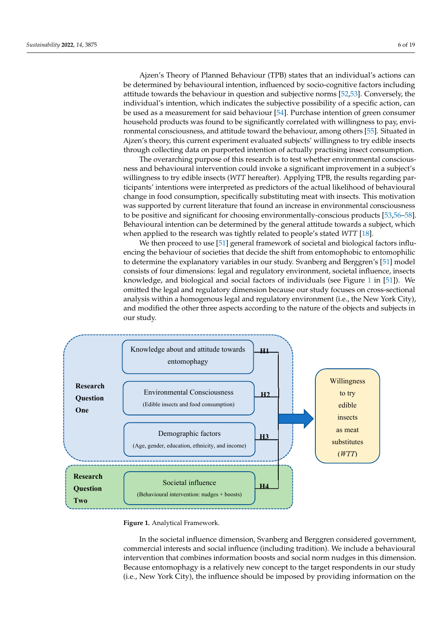Ajzen's Theory of Planned Behaviour (TPB) states that an individual's actions can be determined by behavioural intention, influenced by socio-cognitive factors including attitude towards the behaviour in question and subjective norms [\[52](#page-18-2)[,53\]](#page-18-3). Conversely, the individual's intention, which indicates the subjective possibility of a specific action, can be used as a measurement for said behaviour [\[54\]](#page-18-4). Purchase intention of green consumer household products was found to be significantly correlated with willingness to pay, environmental consciousness, and attitude toward the behaviour, among others [\[55\]](#page-18-5). Situated in Ajzen's theory, this current experiment evaluated subjects' willingness to try edible insects through collecting data on purported intention of actually practising insect consumption.

> The overarching purpose of this research is to test whether environmental consciousness and behavioural intervention could invoke a significant improvement in a subject's willingness to try edible insects (*WTT* hereafter). Applying TPB, the results regarding participants' intentions were interpreted as predictors of the actual likelihood of behavioural<br>
> The capture the knowledge about and the knowledge about and the knowledge about and the knowledge about and the knowledge about change in food consumption, specifically substituting meat with insects. This motivation change in food consumption, specifically substituting meat with insects. This motivation was supported by current literature that found an increase in environmental consciousness<br>the framework to control for the variations of personal traits and the response of personal traits and traits and traits and traits to be positive and significant for choosing environmentally-conscious products [\[53](#page-18-3)[,56](#page-18-6)[–58\]](#page-18-7). Lationship between a significant for choosing chynomic hangy conserved products  $[0.9, 0.05]$ .<br>Behavioural intention can be determined by the general attitude towards a subject, which behaviourly interfaced to the research was tightly related to people's stated *WTT* [\[18\]](#page-16-14).

> We then proceed to use [\[51\]](#page-18-1) general framework of societal and biological factors influ-<br>We then proceed to use [51] general framework of societal and biological factors influencing the behaviour of societies that decide the shift from entomophobic to entomophilic to determine the explanatory variables in our study. Svanberg and Berggren's [\[51\]](#page-18-1) model to determine the explanatory variables in our study. *Evanisty* and *Berggien B*<sub>[21]</sub> models consists of four dimensions: legal and regulatory environment, societal influence, insects knowledge, and biological and social factors of individuals (see Figure [1](#page-5-0) in [\[51\]](#page-18-1)). We Allowedge, and *Enological and Social Recors* of Individually (See Figure 1 In [94]). We<br>omitted the legal and regulatory dimension because our study focuses on cross-sectional analysis within a homogenous legal and regulatory environment (i.e., the New York City), **Hypothesis 3. (H3).** *Demographic factors affects WTT.*  and modified the other three aspects according to the nature of the objects and subjects in our study. **Hypothesis 4. (H4).** *Environmental information nudges improves WTT.*

<span id="page-5-0"></span>

**Figure 1.** Analytical Framework. **Figure 1.** Analytical Framework.

In the societal influence dimension, Svanberg and Berggren considered government, *4.1. Experiment Design*  commercial interests and social influence (including tradition). We include a behavioural intervention that combines information boosts and social norm nudges in this dimension. Because entomophagy is a relatively new concept to the target respondents in our study (i.e., New York City), the influence should be imposed by providing information on the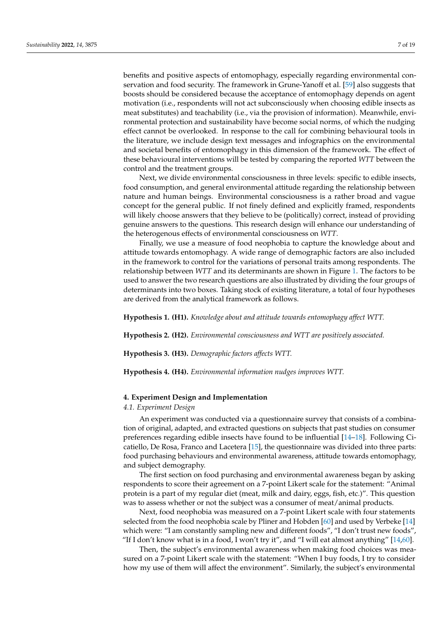benefits and positive aspects of entomophagy, especially regarding environmental conservation and food security. The framework in Grune-Yanoff et al. [\[59\]](#page-18-8) also suggests that boosts should be considered because the acceptance of entomophagy depends on agent motivation (i.e., respondents will not act subconsciously when choosing edible insects as meat substitutes) and teachability (i.e., via the provision of information). Meanwhile, environmental protection and sustainability have become social norms, of which the nudging effect cannot be overlooked. In response to the call for combining behavioural tools in the literature, we include design text messages and infographics on the environmental and societal benefits of entomophagy in this dimension of the framework. The effect of these behavioural interventions will be tested by comparing the reported *WTT* between the control and the treatment groups.

Next, we divide environmental consciousness in three levels: specific to edible insects, food consumption, and general environmental attitude regarding the relationship between nature and human beings. Environmental consciousness is a rather broad and vague concept for the general public. If not finely defined and explicitly framed, respondents will likely choose answers that they believe to be (politically) correct, instead of providing genuine answers to the questions. This research design will enhance our understanding of the heterogenous effects of environmental consciousness on *WTT*.

Finally, we use a measure of food neophobia to capture the knowledge about and attitude towards entomophagy. A wide range of demographic factors are also included in the framework to control for the variations of personal traits among respondents. The relationship between *WTT* and its determinants are shown in Figure [1.](#page-5-0) The factors to be used to answer the two research questions are also illustrated by dividing the four groups of determinants into two boxes. Taking stock of existing literature, a total of four hypotheses are derived from the analytical framework as follows.

**Hypothesis 1. (H1).** *Knowledge about and attitude towards entomophagy affect WTT.*

**Hypothesis 2. (H2).** *Environmental consciousness and WTT are positively associated.*

**Hypothesis 3. (H3).** *Demographic factors affects WTT.*

**Hypothesis 4. (H4).** *Environmental information nudges improves WTT.*

#### <span id="page-6-0"></span>**4. Experiment Design and Implementation**

#### *4.1. Experiment Design*

An experiment was conducted via a questionnaire survey that consists of a combination of original, adapted, and extracted questions on subjects that past studies on consumer preferences regarding edible insects have found to be influential [\[14](#page-16-13)[–18\]](#page-16-14). Following Cicatiello, De Rosa, Franco and Lacetera [\[15\]](#page-16-18), the questionnaire was divided into three parts: food purchasing behaviours and environmental awareness, attitude towards entomophagy, and subject demography.

The first section on food purchasing and environmental awareness began by asking respondents to score their agreement on a 7-point Likert scale for the statement: "Animal protein is a part of my regular diet (meat, milk and dairy, eggs, fish, etc.)". This question was to assess whether or not the subject was a consumer of meat/animal products.

Next, food neophobia was measured on a 7-point Likert scale with four statements selected from the food neophobia scale by Pliner and Hobden [\[60\]](#page-18-9) and used by Verbeke [\[14\]](#page-16-13) which were: "I am constantly sampling new and different foods", "I don't trust new foods", "If I don't know what is in a food, I won't try it", and "I will eat almost anything"  $[14,60]$  $[14,60]$ .

Then, the subject's environmental awareness when making food choices was measured on a 7-point Likert scale with the statement: "When I buy foods, I try to consider how my use of them will affect the environment". Similarly, the subject's environmental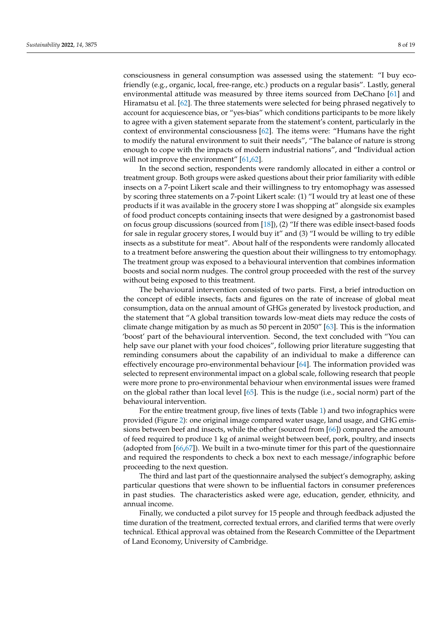consciousness in general consumption was assessed using the statement: "I buy ecofriendly (e.g., organic, local, free-range, etc.) products on a regular basis". Lastly, general environmental attitude was measured by three items sourced from DeChano [\[61\]](#page-18-10) and Hiramatsu et al. [\[62\]](#page-18-11). The three statements were selected for being phrased negatively to account for acquiescence bias, or "yes-bias" which conditions participants to be more likely to agree with a given statement separate from the statement's content, particularly in the context of environmental consciousness [\[62\]](#page-18-11). The items were: "Humans have the right to modify the natural environment to suit their needs", "The balance of nature is strong enough to cope with the impacts of modern industrial nations", and "Individual action will not improve the environment" [\[61](#page-18-10)[,62\]](#page-18-11).

In the second section, respondents were randomly allocated in either a control or treatment group. Both groups were asked questions about their prior familiarity with edible insects on a 7-point Likert scale and their willingness to try entomophagy was assessed by scoring three statements on a 7-point Likert scale: (1) "I would try at least one of these products if it was available in the grocery store I was shopping at" alongside six examples of food product concepts containing insects that were designed by a gastronomist based on focus group discussions (sourced from [\[18\]](#page-16-14)), (2) "If there was edible insect-based foods for sale in regular grocery stores, I would buy it" and (3) "I would be willing to try edible insects as a substitute for meat". About half of the respondents were randomly allocated to a treatment before answering the question about their willingness to try entomophagy. The treatment group was exposed to a behavioural intervention that combines information boosts and social norm nudges. The control group proceeded with the rest of the survey without being exposed to this treatment.

The behavioural intervention consisted of two parts. First, a brief introduction on the concept of edible insects, facts and figures on the rate of increase of global meat consumption, data on the annual amount of GHGs generated by livestock production, and the statement that "A global transition towards low-meat diets may reduce the costs of climate change mitigation by as much as 50 percent in 2050" [\[63\]](#page-18-12). This is the information 'boost' part of the behavioural intervention. Second, the text concluded with "You can help save our planet with your food choices", following prior literature suggesting that reminding consumers about the capability of an individual to make a difference can effectively encourage pro-environmental behaviour [\[64\]](#page-18-13). The information provided was selected to represent environmental impact on a global scale, following research that people were more prone to pro-environmental behaviour when environmental issues were framed on the global rather than local level [\[65\]](#page-18-14). This is the nudge (i.e., social norm) part of the behavioural intervention.

For the entire treatment group, five lines of texts (Table [1\)](#page-8-0) and two infographics were provided (Figure [2\)](#page-8-1): one original image compared water usage, land usage, and GHG emissions between beef and insects, while the other (sourced from [\[66\]](#page-18-15)) compared the amount of feed required to produce 1 kg of animal weight between beef, pork, poultry, and insects (adopted from [\[66,](#page-18-15)[67\]](#page-18-16)). We built in a two-minute timer for this part of the questionnaire and required the respondents to check a box next to each message/infographic before proceeding to the next question.

The third and last part of the questionnaire analysed the subject's demography, asking particular questions that were shown to be influential factors in consumer preferences in past studies. The characteristics asked were age, education, gender, ethnicity, and annual income.

Finally, we conducted a pilot survey for 15 people and through feedback adjusted the time duration of the treatment, corrected textual errors, and clarified terms that were overly technical. Ethical approval was obtained from the Research Committee of the Department of Land Economy, University of Cambridge.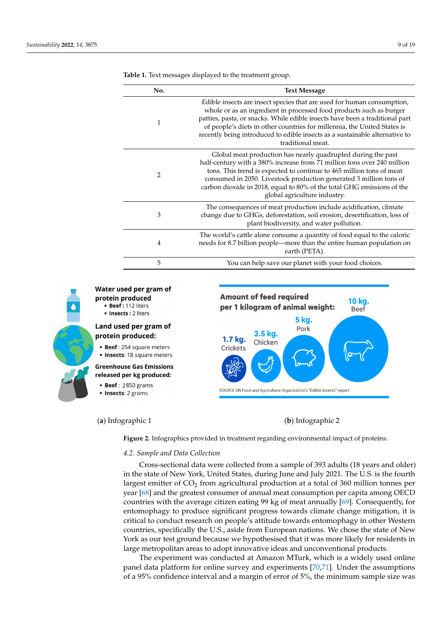| No. | <b>Text Message</b>                                                                                                                                                                                                                                                                                                                                                                                           |
|-----|---------------------------------------------------------------------------------------------------------------------------------------------------------------------------------------------------------------------------------------------------------------------------------------------------------------------------------------------------------------------------------------------------------------|
| 1   | Edible insects are insect species that are used for human consumption,<br>whole or as an ingredient in processed food products such as burger<br>patties, pasta, or snacks. While edible insects have been a traditional part<br>of people's diets in other countries for millennia, the United States is<br>recently being introduced to edible insects as a sustainable alternative to<br>traditional meat. |
| 2   | Global meat production has nearly quadrupled during the past<br>half-century with a 380% increase from 71 million tons over 240 million<br>tons. This trend is expected to continue to 465 million tons of meat<br>consumed in 2050. Livestock production generated 3 million tons of<br>carbon dioxide in 2018, equal to 80% of the total GHG emissions of the<br>global agriculture industry.               |
| 3   | The consequences of meat production include acidification, climate<br>change due to GHGs, deforestation, soil erosion, desertification, loss of<br>plant biodiversity, and water pollution.                                                                                                                                                                                                                   |
| 4   | The world's cattle alone consume a quantity of food equal to the caloric<br>needs for 8.7 billion people—more than the entire human population on<br>earth (PETA).                                                                                                                                                                                                                                            |
| 5   | You can help save our planet with your food choices.                                                                                                                                                                                                                                                                                                                                                          |

**Amount of feed required** 

2.5 kg.

Chicken

1.7 kg.

Crickets

per 1 kilogram of animal weight:

SOURCE UN Food and Agriculture Organization's "Edible insects" report

<span id="page-8-0"></span>**Table 1.** Text messages displayed to the treatment group.



<span id="page-8-1"></span>Water used per gram of protein produced • Beef: 112 liters • Insects : 2 liters

# Land used per gram of protein produced:

• Beef: 254 square meters

• Insects: 18 square meters

#### **Greenhouse Gas Emissions** released per kg produced:

• Beef: 2850 grams

• Insects: 2 grams

# (**a**) Infographic 1 (**b**) Infographic 2

**5 kg.** 

Pork

10 kg.

**Beef** 

**Figure 2.** Infographics provided in treatment regarding environmental impact of proteins. **Figure 2.** Infographics provided in treatment regarding environmental impact of proteins.

# **4.2. Sample and Data Collection** analysed the subjection

Cross-sectional data were collected from a sample of 393 adults (18 years and older) in the state of New York, United States, during June and July 2021. The U.S. is the fourth largest emitter of CO<sub>2</sub> from agricultural production at a total of 360 million tonnes per year [\[68\]](#page-18-17) and the greatest consumer of annual meat consumption per capita among OECD countries with the average citizen eating 99 kg of meat annually [\[69\]](#page-18-18). Consequently, for entomophagy to produce significant progress towards climate change mitigation, it is critical to conduct research on people's attitude towards entomophagy in other Western York as our test ground because we hypothesised that it was more likely for residents in large metropolitan areas to adopt innovative ideas and unconventional products. countries, specifically the U.S., aside from European nations. We chose the state of New

The experiment was conducted at Amazon MTurk, which is a widely used online panel data platform for online survey and experiments  $[70,71]$  $[70,71]$ . Under the assumptions of a 95% confidence interval and a margin of error of 5%, the minimum sample size was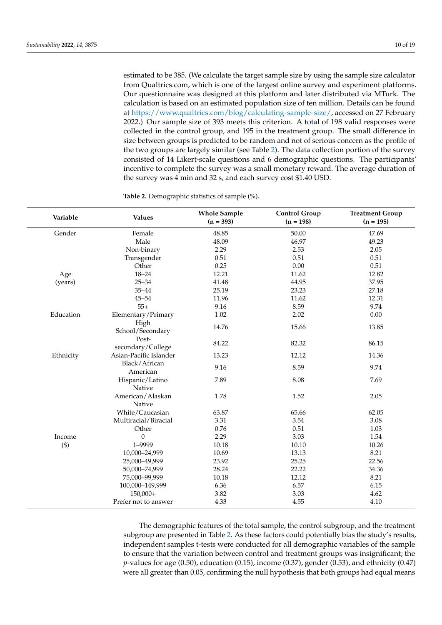estimated to be 385. (We calculate the target sample size by using the sample size calculator from Qualtrics.com, which is one of the largest online survey and experiment platforms. Our questionnaire was designed at this platform and later distributed via MTurk. The calculation is based on an estimated population size of ten million. Details can be found at [https://www.qualtrics.com/blog/calculating-sample-size/,](https://www.qualtrics.com/blog/calculating-sample-size/) accessed on 27 February 2022.) Our sample size of 393 meets this criterion. A total of 198 valid responses were collected in the control group, and 195 in the treatment group. The small difference in size between groups is predicted to be random and not of serious concern as the profile of the two groups are largely similar (see Table [2\)](#page-9-0). The data collection portion of the survey consisted of 14 Likert-scale questions and 6 demographic questions. The participants' incentive to complete the survey was a small monetary reward. The average duration of the survey was 4 min and 32 s, and each survey cost \$1.40 USD.

| Variable  | <b>Values</b>              | <b>Whole Sample</b><br>$(n = 393)$ | <b>Control Group</b><br>$(n = 198)$ | <b>Treatment Group</b><br>$(n = 195)$ |
|-----------|----------------------------|------------------------------------|-------------------------------------|---------------------------------------|
| Gender    | Female                     | 48.85                              | 50.00                               | 47.69                                 |
|           | Male                       | 48.09                              | 46.97                               | 49.23                                 |
|           | Non-binary                 | 2.29                               | 2.53                                | 2.05                                  |
|           | Transgender                | 0.51                               | 0.51                                | 0.51                                  |
|           | Other                      | 0.25                               | 0.00                                | 0.51                                  |
| Age       | $18 - 24$                  | 12.21                              | 11.62                               | 12.82                                 |
| (years)   | $25 - 34$                  | 41.48                              | 44.95                               | 37.95                                 |
|           | $35 - 44$                  | 25.19                              | 23.23                               | 27.18                                 |
|           | $45 - 54$                  | 11.96                              | 11.62                               | 12.31                                 |
|           | $55+$                      | 9.16                               | 8.59                                | 9.74                                  |
| Education | Elementary/Primary         | 1.02                               | 2.02                                | 0.00                                  |
|           | High<br>School/Secondary   | 14.76                              | 15.66                               | 13.85                                 |
|           | Post-<br>secondary/College | 84.22                              | 82.32                               | 86.15                                 |
| Ethnicity | Asian-Pacific Islander     | 13.23                              | 12.12                               | 14.36                                 |
|           | Black/African<br>American  | 9.16                               | 8.59                                | 9.74                                  |
|           | Hispanic/Latino<br>Native  | 7.89                               | 8.08                                | 7.69                                  |
|           | American/Alaskan<br>Native | 1.78                               | 1.52                                | 2.05                                  |
|           | White/Caucasian            | 63.87                              | 65.66                               | 62.05                                 |
|           | Multiracial/Biracial       | 3.31                               | 3.54                                | 3.08                                  |
|           | Other                      | 0.76                               | 0.51                                | 1.03                                  |
| Income    | $\theta$                   | 2.29                               | 3.03                                | 1.54                                  |
| $(\$)$    | 1-9999                     | 10.18                              | 10.10                               | 10.26                                 |
|           | 10,000-24,999              | 10.69                              | 13.13                               | 8.21                                  |
|           | 25,000-49,999              | 23.92                              | 25.25                               | 22.56                                 |
|           | 50,000-74,999              | 28.24                              | 22.22                               | 34.36                                 |
|           | 75,000-99,999              | 10.18                              | 12.12                               | 8.21                                  |
|           | 100,000-149,999            | 6.36                               | 6.57                                | 6.15                                  |
|           | $150,000+$                 | 3.82                               | 3.03                                | 4.62                                  |
|           | Prefer not to answer       | 4.33                               | 4.55                                | 4.10                                  |

<span id="page-9-0"></span>**Table 2.** Demographic statistics of sample (%).

The demographic features of the total sample, the control subgroup, and the treatment subgroup are presented in Table [2.](#page-9-0) As these factors could potentially bias the study's results, independent samples t-tests were conducted for all demographic variables of the sample to ensure that the variation between control and treatment groups was insignificant; the *p*-values for age (0.50), education (0.15), income (0.37), gender (0.53), and ethnicity (0.47) were all greater than 0.05, confirming the null hypothesis that both groups had equal means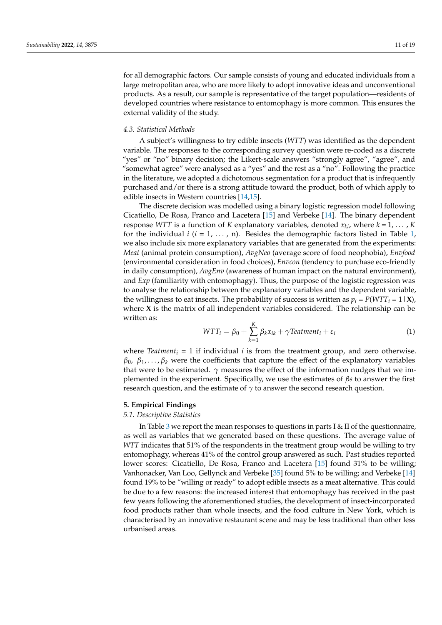for all demographic factors. Our sample consists of young and educated individuals from a large metropolitan area, who are more likely to adopt innovative ideas and unconventional products. As a result, our sample is representative of the target population—residents of developed countries where resistance to entomophagy is more common. This ensures the external validity of the study.

## *4.3. Statistical Methods*

A subject's willingness to try edible insects (*WTT*) was identified as the dependent variable. The responses to the corresponding survey question were re-coded as a discrete "yes" or "no" binary decision; the Likert-scale answers "strongly agree", "agree", and "somewhat agree" were analysed as a "yes" and the rest as a "no". Following the practice in the literature, we adopted a dichotomous segmentation for a product that is infrequently purchased and/or there is a strong attitude toward the product, both of which apply to edible insects in Western countries [\[14](#page-16-13)[,15\]](#page-16-18).

The discrete decision was modelled using a binary logistic regression model following Cicatiello, De Rosa, Franco and Lacetera [\[15\]](#page-16-18) and Verbeke [\[14\]](#page-16-13). The binary dependent response *WTT* is a function of *K* explanatory variables, denoted  $x_{ki}$ , where  $k = 1, \dots, K$ for the individual  $i$  ( $i = 1, \ldots, n$  $i = 1, \ldots, n$  $i = 1, \ldots, n$ ). Besides the demographic factors listed in Table 1, we also include six more explanatory variables that are generated from the experiments: *Meat* (animal protein consumption), *AvgNeo* (average score of food neophobia), *Envfood* (environmental consideration in food choices), *Envcon* (tendency to purchase eco-friendly in daily consumption), *AvgEnv* (awareness of human impact on the natural environment), and *Exp* (familiarity with entomophagy). Thus, the purpose of the logistic regression was to analyse the relationship between the explanatory variables and the dependent variable, the willingness to eat insects. The probability of success is written as  $p_i = P(WTT_i = 1 | \mathbf{X})$ , where **X** is the matrix of all independent variables considered. The relationship can be written as:

$$
WTT_i = \beta_0 + \sum_{k=1}^{K} \beta_k x_{ik} + \gamma Teatment_i + \varepsilon_i
$$
\n(1)

where *Teatment<sup>i</sup>* = 1 if individual *i* is from the treatment group, and zero otherwise.  $β_0$ ,  $β_1$ ,..., $β_k$  were the coefficients that capture the effect of the explanatory variables that were to be estimated.  $\gamma$  measures the effect of the information nudges that we implemented in the experiment. Specifically, we use the estimates of *βs* to answer the first research question, and the estimate of  $\gamma$  to answer the second research question.

#### **5. Empirical Findings**

#### *5.1. Descriptive Statistics*

In Table [3](#page-11-0) we report the mean responses to questions in parts I & II of the questionnaire, as well as variables that we generated based on these questions. The average value of *WTT* indicates that 51% of the respondents in the treatment group would be willing to try entomophagy, whereas 41% of the control group answered as such. Past studies reported lower scores: Cicatiello, De Rosa, Franco and Lacetera [\[15\]](#page-16-18) found 31% to be willing; Vanhonacker, Van Loo, Gellynck and Verbeke [\[35\]](#page-17-15) found 5% to be willing; and Verbeke [\[14\]](#page-16-13) found 19% to be "willing or ready" to adopt edible insects as a meat alternative. This could be due to a few reasons: the increased interest that entomophagy has received in the past few years following the aforementioned studies, the development of insect-incorporated food products rather than whole insects, and the food culture in New York, which is characterised by an innovative restaurant scene and may be less traditional than other less urbanised areas.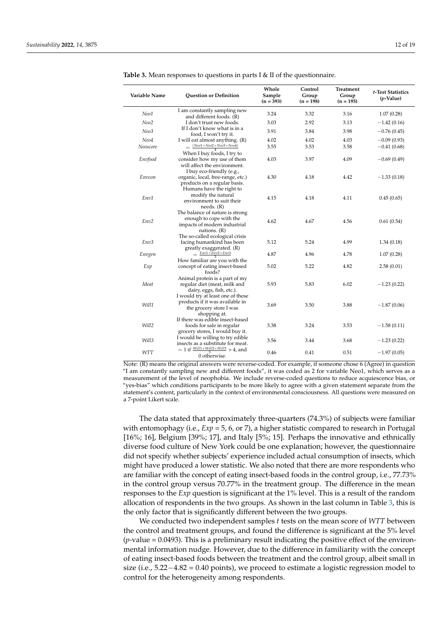| Variable Name                                                               | <b>Ouestion or Definition</b>                                                                                   | Whole<br>Sample<br>$(n = 393)$ | Control<br>Group<br>$(n = 198)$ | Treatment<br>Group<br>$(n = 195)$ | t-Test Statistics<br>$(p$ -Value) |
|-----------------------------------------------------------------------------|-----------------------------------------------------------------------------------------------------------------|--------------------------------|---------------------------------|-----------------------------------|-----------------------------------|
| Neo1                                                                        | I am constantly sampling new<br>and different foods. (R)                                                        | 3.24                           | 3.32                            | 3.16                              | 1.07(0.28)                        |
| Neo2                                                                        | I don't trust new foods.                                                                                        | 3.03                           | 2.92                            | 3.13                              | $-1.42(0.16)$                     |
| Neo3                                                                        | If I don't know what is in a<br>food, I won't try it.                                                           | 3.91                           | 3.84                            | 3.98                              | $-0.76(0.45)$                     |
| Neo4<br>Neoscore                                                            | I will eat almost anything. (R)<br>$=\frac{(Neo1+Neo2+Neo3+Neo4)}{1}$                                           | 4.02<br>3.55                   | 4.02<br>3.53                    | 4.03<br>3.58                      | $-0.09(0.93)$<br>$-0.41(0.68)$    |
| Envfood                                                                     | When I buy foods, I try to<br>consider how my use of them<br>will affect the environment.                       | 4.03                           | 3.97                            | 4.09                              | $-0.69(0.49)$                     |
| Envcon                                                                      | I buy eco-friendly (e.g.,<br>organic, local, free-range, etc.)<br>products on a regular basis.                  | 4.30                           | 4.18                            | 4.42                              | $-1.33(0.18)$                     |
| Env1                                                                        | Humans have the right to<br>modify the natural<br>environment to suit their<br>needs. (R)                       | 4.15                           | 4.18                            | 4.11                              | 0.45(0.65)                        |
| Env <sub>2</sub>                                                            | The balance of nature is strong<br>enough to cope with the<br>impacts of modern industrial<br>nations. $(R)$    | 4.62                           | 4.67                            | 4.56                              | 0.61(0.54)                        |
| Env3                                                                        | The so-called ecological crisis<br>facing humankind has been<br>greatly exaggerated. (R)                        | 5.12                           | 5.24                            | 4.99                              | 1.34(0.18)                        |
| Envgen                                                                      | $=$ $\frac{Env1 + Enc2 + Env3}{Env2 + Env3}$                                                                    | 4.87                           | 4.96                            | 4.78                              | 1.07(0.28)                        |
| Exp                                                                         | How familiar are you with the<br>concept of eating insect-based<br>foods?                                       | 5.02                           | 5.22                            | 4.82                              | 2.58(0.01)                        |
| Meat                                                                        | Animal protein is a part of my<br>regular diet (meat, milk and<br>dairy, eggs, fish, etc.).                     | 5.93                           | 5.83                            | 6.02                              | $-1.23(0.22)$                     |
| Will1                                                                       | I would try at least one of these<br>products if it was available in<br>the grocery store I was<br>shopping at. | 3.69                           | 3.50                            | 3.88                              | $-1.87(0.06)$                     |
| Will2                                                                       | If there was edible insect-based<br>foods for sale in regular<br>grocery stores, I would buy it.                | 3.38                           | 3.24                            | 3.53                              | $-1.58(0.11)$                     |
| Will3                                                                       | I would be willing to try edible<br>insects as a substitute for meat.                                           | 3.56                           | 3.44                            | 3.68                              | $-1.23(0.22)$                     |
| $= 1$ if $\frac{Will1 + Will2 + Will3}{3} > 4$ , and<br>WTT<br>0 otherwise. |                                                                                                                 | 0.46                           | 0.41                            | 0.51                              | $-1.97(0.05)$                     |

<span id="page-11-0"></span>**Table 3.** Mean responses to questions in parts I & II of the questionnaire.

Note: (R) means the original answers were reverse-coded. For example, if someone chose 6 (Agree) in question "I am constantly sampling new and different foods", it was coded as 2 for variable Neo1, which serves as a measurement of the level of neophobia. We include reverse-coded questions to reduce acquiescence bias, or "yes-bias" which conditions participants to be more likely to agree with a given statement separate from the statement's content, particularly in the context of environmental consciousness. All questions were measured on a 7-point Likert scale.

The data stated that approximately three-quarters (74.3%) of subjects were familiar with entomophagy (i.e., *Exp* = 5, 6, or 7), a higher statistic compared to research in Portugal [16%; 16], Belgium [39%; 17], and Italy [5%; 15]. Perhaps the innovative and ethnically diverse food culture of New York could be one explanation; however, the questionnaire did not specify whether subjects' experience included actual consumption of insects, which might have produced a lower statistic. We also noted that there are more respondents who are familiar with the concept of eating insect-based foods in the control group, i.e., 77.73% in the control group versus 70.77% in the treatment group. The difference in the mean responses to the *Exp* question is significant at the 1% level. This is a result of the random allocation of respondents in the two groups. As shown in the last column in Table [3,](#page-11-0) this is the only factor that is significantly different between the two groups.

We conducted two independent samples *t* tests on the mean score of *WTT* between the control and treatment groups, and found the difference is significant at the 5% level  $(p$ -value  $= 0.0493$ ). This is a preliminary result indicating the positive effect of the environmental information nudge. However, due to the difference in familiarity with the concept of eating insect-based foods between the treatment and the control group, albeit small in size (i.e., 5.22−4.82 = 0.40 points), we proceed to estimate a logistic regression model to control for the heterogeneity among respondents.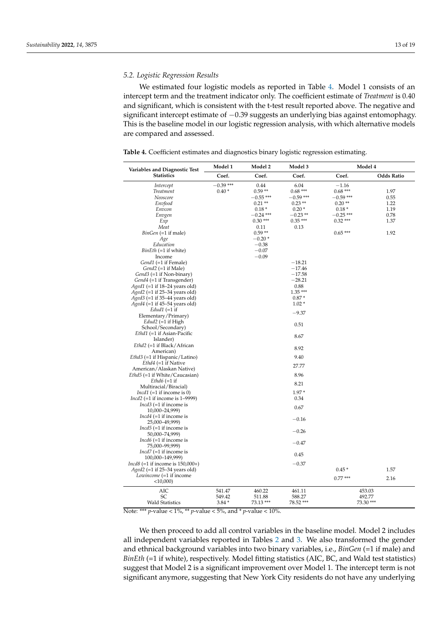## *5.2. Logistic Regression Results*

We estimated four logistic models as reported in Table [4.](#page-12-0) Model 1 consists of an intercept term and the treatment indicator only. The coefficient estimate of *Treatment* is 0.40 and significant, which is consistent with the t-test result reported above. The negative and significant intercept estimate of −0.39 suggests an underlying bias against entomophagy. This is the baseline model in our logistic regression analysis, with which alternative models are compared and assessed.

<span id="page-12-0"></span>**Table 4.** Coefficient estimates and diagnostics binary logistic regression estimating.

| <b>Statistics</b><br>Coef.<br>Coef.<br>Coef.<br>Coef.<br><b>Odds Ratio</b><br>$-0.39$ ***<br>0.44<br>6.04<br>$-1.16$<br>Intercept<br>$0.40*$<br>$0.59**$<br>$0.68***$<br>$0.68***$<br>1.97<br><b>Treatment</b><br>$-0.59$ ***<br>Neoscore<br>$-0.55***$<br>$-0.59***$<br>0.55<br>$0.20**$<br>Envfood<br>$0.21**$<br>$0.23**$<br>1.22<br>Envcon<br>$0.18*$<br>$0.20*$<br>$0.18*$<br>1.19<br>$-0.24$ ***<br>$-0.23**$<br>$-0.25$ ***<br>0.78<br>Envgen<br>$0.30***$<br>$0.35***$<br>$0.32***$<br>Exp<br>1.37<br>Meat<br>0.13<br>0.11<br>$0.65***$<br>$BinGen (=1$ if male)<br>$0.59**$<br>1.92<br>Age<br>$-0.20*$<br>Education<br>$-0.38$<br>BinEth (=1 if white)<br>$-0.07$<br>$-0.09$<br>Income<br>Gend1 (=1 if Female)<br>$-18.21$<br>Gend2 (=1 if Male)<br>$-17.46$<br>$-17.58$<br>Gend <sub>3</sub> (=1 if Non-binary)<br>$-28.21$<br>Gend4 (=1 if Transgender)<br>Aged1 (=1 if 18-24 years old)<br>0.88<br>$1.35***$<br>$A$ ged $2$ (=1 if 25–34 years old)<br>Aged3 (=1 if 35-44 years old)<br>$0.87*$<br>$A$ ged $4$ (=1 if 45–54 years old)<br>$1.02*$<br>Edud1 $(=1$ if<br>$-9.37$<br>Elementary/Primary)<br>$Edud2 (=1$ if High<br>0.51<br>School/Secondary)<br>Ethd1 (=1 if Asian-Pacific<br>8.67<br>Islander)<br>Ethd2 (=1 if Black/African<br>8.92<br>American)<br>Ethd3 (=1 if Hispanic/Latino)<br>9.40<br>$Ethd4 (=1 if Native)$<br>27.77<br>American/Alaskan Native)<br>Ethd5 (=1 if White/Caucasian)<br>8.96<br>$Ethd6 (=1 if$<br>8.21<br>Multiracial/Biracial)<br>$1.97*$<br><i>Incd1</i> (=1 if income is 0)<br>Incd2 $(=1$ if income is 1-9999)<br>0.34<br><i>Incd3</i> (=1 if income is<br>0.67<br>10,000-24,999)<br><i>Incd4</i> (=1 if income is<br>$-0.16$<br>25,000-49,999)<br><i>Incd</i> 5 $(=1$ if income is<br>$-0.26$<br>50,000-74,999)<br><i>Incd6</i> $(=1$ if income is<br>$-0.47$<br>75,000-99,999)<br><i>Incd7</i> (=1 if income is<br>0.45<br>100,000-149,999)<br>$Incd8 (=1$ if income is $150,000+$ )<br>$-0.37$<br>$0.45*$<br>Aged2 (=1 if 25–34 years old)<br>1.57<br>Lowincome (=1 if income<br>$0.77***$<br>2.16<br>$<$ 10,000)<br>AIC<br>460.22<br>541.47<br>461.11<br>453.03<br><b>SC</b><br>549.42<br>511.88<br>588.27<br>492.77<br><b>Wald Statistics</b><br>78.52***<br>73.30 ***<br>$3.84*$<br>73.13 *** | Variables and Diagnostic Test | Model 1 | Model 2<br>Model 3 |  | Model 4 |  |
|---------------------------------------------------------------------------------------------------------------------------------------------------------------------------------------------------------------------------------------------------------------------------------------------------------------------------------------------------------------------------------------------------------------------------------------------------------------------------------------------------------------------------------------------------------------------------------------------------------------------------------------------------------------------------------------------------------------------------------------------------------------------------------------------------------------------------------------------------------------------------------------------------------------------------------------------------------------------------------------------------------------------------------------------------------------------------------------------------------------------------------------------------------------------------------------------------------------------------------------------------------------------------------------------------------------------------------------------------------------------------------------------------------------------------------------------------------------------------------------------------------------------------------------------------------------------------------------------------------------------------------------------------------------------------------------------------------------------------------------------------------------------------------------------------------------------------------------------------------------------------------------------------------------------------------------------------------------------------------------------------------------------------------------------------------------------------------------------------------------------------------------------------------------------------------------------------------------------------------------------------------|-------------------------------|---------|--------------------|--|---------|--|
|                                                                                                                                                                                                                                                                                                                                                                                                                                                                                                                                                                                                                                                                                                                                                                                                                                                                                                                                                                                                                                                                                                                                                                                                                                                                                                                                                                                                                                                                                                                                                                                                                                                                                                                                                                                                                                                                                                                                                                                                                                                                                                                                                                                                                                                         |                               |         |                    |  |         |  |
|                                                                                                                                                                                                                                                                                                                                                                                                                                                                                                                                                                                                                                                                                                                                                                                                                                                                                                                                                                                                                                                                                                                                                                                                                                                                                                                                                                                                                                                                                                                                                                                                                                                                                                                                                                                                                                                                                                                                                                                                                                                                                                                                                                                                                                                         |                               |         |                    |  |         |  |
|                                                                                                                                                                                                                                                                                                                                                                                                                                                                                                                                                                                                                                                                                                                                                                                                                                                                                                                                                                                                                                                                                                                                                                                                                                                                                                                                                                                                                                                                                                                                                                                                                                                                                                                                                                                                                                                                                                                                                                                                                                                                                                                                                                                                                                                         |                               |         |                    |  |         |  |
|                                                                                                                                                                                                                                                                                                                                                                                                                                                                                                                                                                                                                                                                                                                                                                                                                                                                                                                                                                                                                                                                                                                                                                                                                                                                                                                                                                                                                                                                                                                                                                                                                                                                                                                                                                                                                                                                                                                                                                                                                                                                                                                                                                                                                                                         |                               |         |                    |  |         |  |
|                                                                                                                                                                                                                                                                                                                                                                                                                                                                                                                                                                                                                                                                                                                                                                                                                                                                                                                                                                                                                                                                                                                                                                                                                                                                                                                                                                                                                                                                                                                                                                                                                                                                                                                                                                                                                                                                                                                                                                                                                                                                                                                                                                                                                                                         |                               |         |                    |  |         |  |
|                                                                                                                                                                                                                                                                                                                                                                                                                                                                                                                                                                                                                                                                                                                                                                                                                                                                                                                                                                                                                                                                                                                                                                                                                                                                                                                                                                                                                                                                                                                                                                                                                                                                                                                                                                                                                                                                                                                                                                                                                                                                                                                                                                                                                                                         |                               |         |                    |  |         |  |
|                                                                                                                                                                                                                                                                                                                                                                                                                                                                                                                                                                                                                                                                                                                                                                                                                                                                                                                                                                                                                                                                                                                                                                                                                                                                                                                                                                                                                                                                                                                                                                                                                                                                                                                                                                                                                                                                                                                                                                                                                                                                                                                                                                                                                                                         |                               |         |                    |  |         |  |
|                                                                                                                                                                                                                                                                                                                                                                                                                                                                                                                                                                                                                                                                                                                                                                                                                                                                                                                                                                                                                                                                                                                                                                                                                                                                                                                                                                                                                                                                                                                                                                                                                                                                                                                                                                                                                                                                                                                                                                                                                                                                                                                                                                                                                                                         |                               |         |                    |  |         |  |
|                                                                                                                                                                                                                                                                                                                                                                                                                                                                                                                                                                                                                                                                                                                                                                                                                                                                                                                                                                                                                                                                                                                                                                                                                                                                                                                                                                                                                                                                                                                                                                                                                                                                                                                                                                                                                                                                                                                                                                                                                                                                                                                                                                                                                                                         |                               |         |                    |  |         |  |
|                                                                                                                                                                                                                                                                                                                                                                                                                                                                                                                                                                                                                                                                                                                                                                                                                                                                                                                                                                                                                                                                                                                                                                                                                                                                                                                                                                                                                                                                                                                                                                                                                                                                                                                                                                                                                                                                                                                                                                                                                                                                                                                                                                                                                                                         |                               |         |                    |  |         |  |
|                                                                                                                                                                                                                                                                                                                                                                                                                                                                                                                                                                                                                                                                                                                                                                                                                                                                                                                                                                                                                                                                                                                                                                                                                                                                                                                                                                                                                                                                                                                                                                                                                                                                                                                                                                                                                                                                                                                                                                                                                                                                                                                                                                                                                                                         |                               |         |                    |  |         |  |
|                                                                                                                                                                                                                                                                                                                                                                                                                                                                                                                                                                                                                                                                                                                                                                                                                                                                                                                                                                                                                                                                                                                                                                                                                                                                                                                                                                                                                                                                                                                                                                                                                                                                                                                                                                                                                                                                                                                                                                                                                                                                                                                                                                                                                                                         |                               |         |                    |  |         |  |
|                                                                                                                                                                                                                                                                                                                                                                                                                                                                                                                                                                                                                                                                                                                                                                                                                                                                                                                                                                                                                                                                                                                                                                                                                                                                                                                                                                                                                                                                                                                                                                                                                                                                                                                                                                                                                                                                                                                                                                                                                                                                                                                                                                                                                                                         |                               |         |                    |  |         |  |
|                                                                                                                                                                                                                                                                                                                                                                                                                                                                                                                                                                                                                                                                                                                                                                                                                                                                                                                                                                                                                                                                                                                                                                                                                                                                                                                                                                                                                                                                                                                                                                                                                                                                                                                                                                                                                                                                                                                                                                                                                                                                                                                                                                                                                                                         |                               |         |                    |  |         |  |
|                                                                                                                                                                                                                                                                                                                                                                                                                                                                                                                                                                                                                                                                                                                                                                                                                                                                                                                                                                                                                                                                                                                                                                                                                                                                                                                                                                                                                                                                                                                                                                                                                                                                                                                                                                                                                                                                                                                                                                                                                                                                                                                                                                                                                                                         |                               |         |                    |  |         |  |
|                                                                                                                                                                                                                                                                                                                                                                                                                                                                                                                                                                                                                                                                                                                                                                                                                                                                                                                                                                                                                                                                                                                                                                                                                                                                                                                                                                                                                                                                                                                                                                                                                                                                                                                                                                                                                                                                                                                                                                                                                                                                                                                                                                                                                                                         |                               |         |                    |  |         |  |
|                                                                                                                                                                                                                                                                                                                                                                                                                                                                                                                                                                                                                                                                                                                                                                                                                                                                                                                                                                                                                                                                                                                                                                                                                                                                                                                                                                                                                                                                                                                                                                                                                                                                                                                                                                                                                                                                                                                                                                                                                                                                                                                                                                                                                                                         |                               |         |                    |  |         |  |
|                                                                                                                                                                                                                                                                                                                                                                                                                                                                                                                                                                                                                                                                                                                                                                                                                                                                                                                                                                                                                                                                                                                                                                                                                                                                                                                                                                                                                                                                                                                                                                                                                                                                                                                                                                                                                                                                                                                                                                                                                                                                                                                                                                                                                                                         |                               |         |                    |  |         |  |
|                                                                                                                                                                                                                                                                                                                                                                                                                                                                                                                                                                                                                                                                                                                                                                                                                                                                                                                                                                                                                                                                                                                                                                                                                                                                                                                                                                                                                                                                                                                                                                                                                                                                                                                                                                                                                                                                                                                                                                                                                                                                                                                                                                                                                                                         |                               |         |                    |  |         |  |
|                                                                                                                                                                                                                                                                                                                                                                                                                                                                                                                                                                                                                                                                                                                                                                                                                                                                                                                                                                                                                                                                                                                                                                                                                                                                                                                                                                                                                                                                                                                                                                                                                                                                                                                                                                                                                                                                                                                                                                                                                                                                                                                                                                                                                                                         |                               |         |                    |  |         |  |
|                                                                                                                                                                                                                                                                                                                                                                                                                                                                                                                                                                                                                                                                                                                                                                                                                                                                                                                                                                                                                                                                                                                                                                                                                                                                                                                                                                                                                                                                                                                                                                                                                                                                                                                                                                                                                                                                                                                                                                                                                                                                                                                                                                                                                                                         |                               |         |                    |  |         |  |
|                                                                                                                                                                                                                                                                                                                                                                                                                                                                                                                                                                                                                                                                                                                                                                                                                                                                                                                                                                                                                                                                                                                                                                                                                                                                                                                                                                                                                                                                                                                                                                                                                                                                                                                                                                                                                                                                                                                                                                                                                                                                                                                                                                                                                                                         |                               |         |                    |  |         |  |
|                                                                                                                                                                                                                                                                                                                                                                                                                                                                                                                                                                                                                                                                                                                                                                                                                                                                                                                                                                                                                                                                                                                                                                                                                                                                                                                                                                                                                                                                                                                                                                                                                                                                                                                                                                                                                                                                                                                                                                                                                                                                                                                                                                                                                                                         |                               |         |                    |  |         |  |
|                                                                                                                                                                                                                                                                                                                                                                                                                                                                                                                                                                                                                                                                                                                                                                                                                                                                                                                                                                                                                                                                                                                                                                                                                                                                                                                                                                                                                                                                                                                                                                                                                                                                                                                                                                                                                                                                                                                                                                                                                                                                                                                                                                                                                                                         |                               |         |                    |  |         |  |
|                                                                                                                                                                                                                                                                                                                                                                                                                                                                                                                                                                                                                                                                                                                                                                                                                                                                                                                                                                                                                                                                                                                                                                                                                                                                                                                                                                                                                                                                                                                                                                                                                                                                                                                                                                                                                                                                                                                                                                                                                                                                                                                                                                                                                                                         |                               |         |                    |  |         |  |
|                                                                                                                                                                                                                                                                                                                                                                                                                                                                                                                                                                                                                                                                                                                                                                                                                                                                                                                                                                                                                                                                                                                                                                                                                                                                                                                                                                                                                                                                                                                                                                                                                                                                                                                                                                                                                                                                                                                                                                                                                                                                                                                                                                                                                                                         |                               |         |                    |  |         |  |
|                                                                                                                                                                                                                                                                                                                                                                                                                                                                                                                                                                                                                                                                                                                                                                                                                                                                                                                                                                                                                                                                                                                                                                                                                                                                                                                                                                                                                                                                                                                                                                                                                                                                                                                                                                                                                                                                                                                                                                                                                                                                                                                                                                                                                                                         |                               |         |                    |  |         |  |
|                                                                                                                                                                                                                                                                                                                                                                                                                                                                                                                                                                                                                                                                                                                                                                                                                                                                                                                                                                                                                                                                                                                                                                                                                                                                                                                                                                                                                                                                                                                                                                                                                                                                                                                                                                                                                                                                                                                                                                                                                                                                                                                                                                                                                                                         |                               |         |                    |  |         |  |
|                                                                                                                                                                                                                                                                                                                                                                                                                                                                                                                                                                                                                                                                                                                                                                                                                                                                                                                                                                                                                                                                                                                                                                                                                                                                                                                                                                                                                                                                                                                                                                                                                                                                                                                                                                                                                                                                                                                                                                                                                                                                                                                                                                                                                                                         |                               |         |                    |  |         |  |
|                                                                                                                                                                                                                                                                                                                                                                                                                                                                                                                                                                                                                                                                                                                                                                                                                                                                                                                                                                                                                                                                                                                                                                                                                                                                                                                                                                                                                                                                                                                                                                                                                                                                                                                                                                                                                                                                                                                                                                                                                                                                                                                                                                                                                                                         |                               |         |                    |  |         |  |
|                                                                                                                                                                                                                                                                                                                                                                                                                                                                                                                                                                                                                                                                                                                                                                                                                                                                                                                                                                                                                                                                                                                                                                                                                                                                                                                                                                                                                                                                                                                                                                                                                                                                                                                                                                                                                                                                                                                                                                                                                                                                                                                                                                                                                                                         |                               |         |                    |  |         |  |
|                                                                                                                                                                                                                                                                                                                                                                                                                                                                                                                                                                                                                                                                                                                                                                                                                                                                                                                                                                                                                                                                                                                                                                                                                                                                                                                                                                                                                                                                                                                                                                                                                                                                                                                                                                                                                                                                                                                                                                                                                                                                                                                                                                                                                                                         |                               |         |                    |  |         |  |
|                                                                                                                                                                                                                                                                                                                                                                                                                                                                                                                                                                                                                                                                                                                                                                                                                                                                                                                                                                                                                                                                                                                                                                                                                                                                                                                                                                                                                                                                                                                                                                                                                                                                                                                                                                                                                                                                                                                                                                                                                                                                                                                                                                                                                                                         |                               |         |                    |  |         |  |
|                                                                                                                                                                                                                                                                                                                                                                                                                                                                                                                                                                                                                                                                                                                                                                                                                                                                                                                                                                                                                                                                                                                                                                                                                                                                                                                                                                                                                                                                                                                                                                                                                                                                                                                                                                                                                                                                                                                                                                                                                                                                                                                                                                                                                                                         |                               |         |                    |  |         |  |
|                                                                                                                                                                                                                                                                                                                                                                                                                                                                                                                                                                                                                                                                                                                                                                                                                                                                                                                                                                                                                                                                                                                                                                                                                                                                                                                                                                                                                                                                                                                                                                                                                                                                                                                                                                                                                                                                                                                                                                                                                                                                                                                                                                                                                                                         |                               |         |                    |  |         |  |
|                                                                                                                                                                                                                                                                                                                                                                                                                                                                                                                                                                                                                                                                                                                                                                                                                                                                                                                                                                                                                                                                                                                                                                                                                                                                                                                                                                                                                                                                                                                                                                                                                                                                                                                                                                                                                                                                                                                                                                                                                                                                                                                                                                                                                                                         |                               |         |                    |  |         |  |
|                                                                                                                                                                                                                                                                                                                                                                                                                                                                                                                                                                                                                                                                                                                                                                                                                                                                                                                                                                                                                                                                                                                                                                                                                                                                                                                                                                                                                                                                                                                                                                                                                                                                                                                                                                                                                                                                                                                                                                                                                                                                                                                                                                                                                                                         |                               |         |                    |  |         |  |
|                                                                                                                                                                                                                                                                                                                                                                                                                                                                                                                                                                                                                                                                                                                                                                                                                                                                                                                                                                                                                                                                                                                                                                                                                                                                                                                                                                                                                                                                                                                                                                                                                                                                                                                                                                                                                                                                                                                                                                                                                                                                                                                                                                                                                                                         |                               |         |                    |  |         |  |
|                                                                                                                                                                                                                                                                                                                                                                                                                                                                                                                                                                                                                                                                                                                                                                                                                                                                                                                                                                                                                                                                                                                                                                                                                                                                                                                                                                                                                                                                                                                                                                                                                                                                                                                                                                                                                                                                                                                                                                                                                                                                                                                                                                                                                                                         |                               |         |                    |  |         |  |
|                                                                                                                                                                                                                                                                                                                                                                                                                                                                                                                                                                                                                                                                                                                                                                                                                                                                                                                                                                                                                                                                                                                                                                                                                                                                                                                                                                                                                                                                                                                                                                                                                                                                                                                                                                                                                                                                                                                                                                                                                                                                                                                                                                                                                                                         |                               |         |                    |  |         |  |
|                                                                                                                                                                                                                                                                                                                                                                                                                                                                                                                                                                                                                                                                                                                                                                                                                                                                                                                                                                                                                                                                                                                                                                                                                                                                                                                                                                                                                                                                                                                                                                                                                                                                                                                                                                                                                                                                                                                                                                                                                                                                                                                                                                                                                                                         |                               |         |                    |  |         |  |
|                                                                                                                                                                                                                                                                                                                                                                                                                                                                                                                                                                                                                                                                                                                                                                                                                                                                                                                                                                                                                                                                                                                                                                                                                                                                                                                                                                                                                                                                                                                                                                                                                                                                                                                                                                                                                                                                                                                                                                                                                                                                                                                                                                                                                                                         |                               |         |                    |  |         |  |
|                                                                                                                                                                                                                                                                                                                                                                                                                                                                                                                                                                                                                                                                                                                                                                                                                                                                                                                                                                                                                                                                                                                                                                                                                                                                                                                                                                                                                                                                                                                                                                                                                                                                                                                                                                                                                                                                                                                                                                                                                                                                                                                                                                                                                                                         |                               |         |                    |  |         |  |
|                                                                                                                                                                                                                                                                                                                                                                                                                                                                                                                                                                                                                                                                                                                                                                                                                                                                                                                                                                                                                                                                                                                                                                                                                                                                                                                                                                                                                                                                                                                                                                                                                                                                                                                                                                                                                                                                                                                                                                                                                                                                                                                                                                                                                                                         |                               |         |                    |  |         |  |
|                                                                                                                                                                                                                                                                                                                                                                                                                                                                                                                                                                                                                                                                                                                                                                                                                                                                                                                                                                                                                                                                                                                                                                                                                                                                                                                                                                                                                                                                                                                                                                                                                                                                                                                                                                                                                                                                                                                                                                                                                                                                                                                                                                                                                                                         |                               |         |                    |  |         |  |
|                                                                                                                                                                                                                                                                                                                                                                                                                                                                                                                                                                                                                                                                                                                                                                                                                                                                                                                                                                                                                                                                                                                                                                                                                                                                                                                                                                                                                                                                                                                                                                                                                                                                                                                                                                                                                                                                                                                                                                                                                                                                                                                                                                                                                                                         |                               |         |                    |  |         |  |
|                                                                                                                                                                                                                                                                                                                                                                                                                                                                                                                                                                                                                                                                                                                                                                                                                                                                                                                                                                                                                                                                                                                                                                                                                                                                                                                                                                                                                                                                                                                                                                                                                                                                                                                                                                                                                                                                                                                                                                                                                                                                                                                                                                                                                                                         |                               |         |                    |  |         |  |
|                                                                                                                                                                                                                                                                                                                                                                                                                                                                                                                                                                                                                                                                                                                                                                                                                                                                                                                                                                                                                                                                                                                                                                                                                                                                                                                                                                                                                                                                                                                                                                                                                                                                                                                                                                                                                                                                                                                                                                                                                                                                                                                                                                                                                                                         |                               |         |                    |  |         |  |
|                                                                                                                                                                                                                                                                                                                                                                                                                                                                                                                                                                                                                                                                                                                                                                                                                                                                                                                                                                                                                                                                                                                                                                                                                                                                                                                                                                                                                                                                                                                                                                                                                                                                                                                                                                                                                                                                                                                                                                                                                                                                                                                                                                                                                                                         |                               |         |                    |  |         |  |
|                                                                                                                                                                                                                                                                                                                                                                                                                                                                                                                                                                                                                                                                                                                                                                                                                                                                                                                                                                                                                                                                                                                                                                                                                                                                                                                                                                                                                                                                                                                                                                                                                                                                                                                                                                                                                                                                                                                                                                                                                                                                                                                                                                                                                                                         |                               |         |                    |  |         |  |
|                                                                                                                                                                                                                                                                                                                                                                                                                                                                                                                                                                                                                                                                                                                                                                                                                                                                                                                                                                                                                                                                                                                                                                                                                                                                                                                                                                                                                                                                                                                                                                                                                                                                                                                                                                                                                                                                                                                                                                                                                                                                                                                                                                                                                                                         |                               |         |                    |  |         |  |
|                                                                                                                                                                                                                                                                                                                                                                                                                                                                                                                                                                                                                                                                                                                                                                                                                                                                                                                                                                                                                                                                                                                                                                                                                                                                                                                                                                                                                                                                                                                                                                                                                                                                                                                                                                                                                                                                                                                                                                                                                                                                                                                                                                                                                                                         |                               |         |                    |  |         |  |
|                                                                                                                                                                                                                                                                                                                                                                                                                                                                                                                                                                                                                                                                                                                                                                                                                                                                                                                                                                                                                                                                                                                                                                                                                                                                                                                                                                                                                                                                                                                                                                                                                                                                                                                                                                                                                                                                                                                                                                                                                                                                                                                                                                                                                                                         |                               |         |                    |  |         |  |
|                                                                                                                                                                                                                                                                                                                                                                                                                                                                                                                                                                                                                                                                                                                                                                                                                                                                                                                                                                                                                                                                                                                                                                                                                                                                                                                                                                                                                                                                                                                                                                                                                                                                                                                                                                                                                                                                                                                                                                                                                                                                                                                                                                                                                                                         |                               |         |                    |  |         |  |
|                                                                                                                                                                                                                                                                                                                                                                                                                                                                                                                                                                                                                                                                                                                                                                                                                                                                                                                                                                                                                                                                                                                                                                                                                                                                                                                                                                                                                                                                                                                                                                                                                                                                                                                                                                                                                                                                                                                                                                                                                                                                                                                                                                                                                                                         |                               |         |                    |  |         |  |
|                                                                                                                                                                                                                                                                                                                                                                                                                                                                                                                                                                                                                                                                                                                                                                                                                                                                                                                                                                                                                                                                                                                                                                                                                                                                                                                                                                                                                                                                                                                                                                                                                                                                                                                                                                                                                                                                                                                                                                                                                                                                                                                                                                                                                                                         |                               |         |                    |  |         |  |
|                                                                                                                                                                                                                                                                                                                                                                                                                                                                                                                                                                                                                                                                                                                                                                                                                                                                                                                                                                                                                                                                                                                                                                                                                                                                                                                                                                                                                                                                                                                                                                                                                                                                                                                                                                                                                                                                                                                                                                                                                                                                                                                                                                                                                                                         |                               |         |                    |  |         |  |

Note: \*\*\* *p*-value < 1%, \*\* *p*-value < 5%, and \* *p*-value < 10%.

We then proceed to add all control variables in the baseline model. Model 2 includes all independent variables reported in Tables [2](#page-9-0) and [3.](#page-11-0) We also transformed the gender and ethnical background variables into two binary variables, i.e., *BinGen* (=1 if male) and *BinEth* (=1 if white), respectively. Model fitting statistics (AIC, BC, and Wald test statistics) suggest that Model 2 is a significant improvement over Model 1. The intercept term is not significant anymore, suggesting that New York City residents do not have any underlying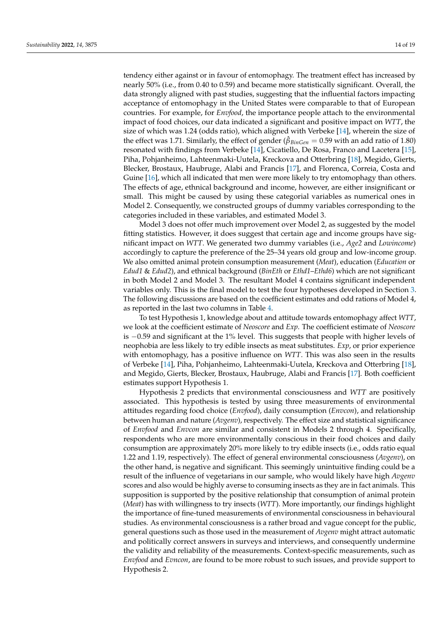tendency either against or in favour of entomophagy. The treatment effect has increased by nearly 50% (i.e., from 0.40 to 0.59) and became more statistically significant. Overall, the data strongly aligned with past studies, suggesting that the influential factors impacting acceptance of entomophagy in the United States were comparable to that of European countries. For example, for *Envfood*, the importance people attach to the environmental impact of food choices, our data indicated a significant and positive impact on *WTT*, the size of which was 1.24 (odds ratio), which aligned with Verbeke [\[14\]](#page-16-13), wherein the size of the effect was 1.71. Similarly, the effect of gender ( $\hat{\beta}_{BinGen} = 0.59$  with an add ratio of 1.80) resonated with findings from Verbeke [\[14\]](#page-16-13), Cicatiello, De Rosa, Franco and Lacetera [\[15\]](#page-16-18), Piha, Pohjanheimo, Lahteenmaki-Uutela, Kreckova and Otterbring [\[18\]](#page-16-14), Megido, Gierts, Blecker, Brostaux, Haubruge, Alabi and Francis [\[17\]](#page-16-16), and Florenca, Correia, Costa and Guine [\[16\]](#page-16-17), which all indicated that men were more likely to try entomophagy than others. The effects of age, ethnical background and income, however, are either insignificant or small. This might be caused by using these categorial variables as numerical ones in Model 2. Consequently, we constructed groups of dummy variables corresponding to the categories included in these variables, and estimated Model 3.

Model 3 does not offer much improvement over Model 2, as suggested by the model fitting statistics. However, it does suggest that certain age and income groups have significant impact on *WTT*. We generated two dummy variables (i.e., *Age2* and *Lowincome*) accordingly to capture the preference of the 25–34 years old group and low-income group. We also omitted animal protein consumption measurement (*Meat*), education (*Education* or *Edud1* & *Edud2*), and ethnical background (*BinEth* or *Ethd1*–*Ethd6*) which are not significant in both Model 2 and Model 3. The resultant Model 4 contains significant independent variables only. This is the final model to test the four hypotheses developed in Section [3.](#page-4-0) The following discussions are based on the coefficient estimates and odd rations of Model 4, as reported in the last two columns in Table [4.](#page-12-0)

To test Hypothesis 1, knowledge about and attitude towards entomophagy affect *WTT*, we look at the coefficient estimate of *Neoscore* and *Exp*. The coefficient estimate of *Neoscore* is −0.59 and significant at the 1% level. This suggests that people with higher levels of neophobia are less likely to try edible insects as meat substitutes. *Exp*, or prior experience with entomophagy, has a positive influence on *WTT*. This was also seen in the results of Verbeke [\[14\]](#page-16-13), Piha, Pohjanheimo, Lahteenmaki-Uutela, Kreckova and Otterbring [\[18\]](#page-16-14), and Megido, Gierts, Blecker, Brostaux, Haubruge, Alabi and Francis [\[17\]](#page-16-16). Both coefficient estimates support Hypothesis 1.

Hypothesis 2 predicts that environmental consciousness and *WTT* are positively associated. This hypothesis is tested by using three measurements of environmental attitudes regarding food choice (*Envfood*), daily consumption (*Envcon*), and relationship between human and nature (*Avgenv*), respectively. The effect size and statistical significance of *Envfood* and *Envcon* are similar and consistent in Models 2 through 4. Specifically, respondents who are more environmentally conscious in their food choices and daily consumption are approximately 20% more likely to try edible insects (i.e., odds ratio equal 1.22 and 1.19, respectively). The effect of general environmental consciousness (*Avgenv*), on the other hand, is negative and significant. This seemingly unintuitive finding could be a result of the influence of vegetarians in our sample, who would likely have high *Avgenv* scores and also would be highly averse to consuming insects as they are in fact animals. This supposition is supported by the positive relationship that consumption of animal protein (*Meat*) has with willingness to try insects (*WTT*). More importantly, our findings highlight the importance of fine-tuned measurements of environmental consciousness in behavioural studies. As environmental consciousness is a rather broad and vague concept for the public, general questions such as those used in the measurement of *Avgenv* might attract automatic and politically correct answers in surveys and interviews, and consequently undermine the validity and reliability of the measurements. Context-specific measurements, such as *Envfood* and *Evncon*, are found to be more robust to such issues, and provide support to Hypothesis 2.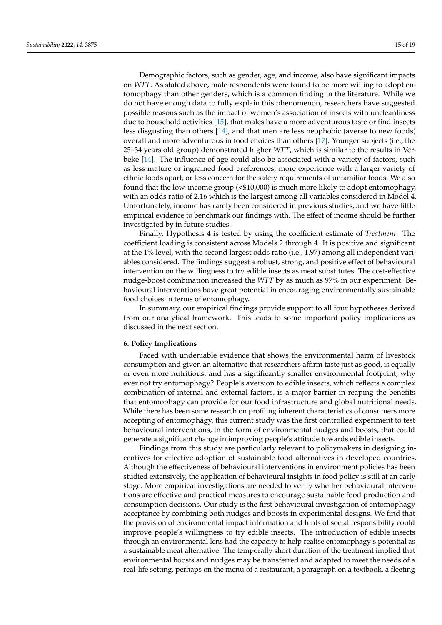Demographic factors, such as gender, age, and income, also have significant impacts on *WTT*. As stated above, male respondents were found to be more willing to adopt entomophagy than other genders, which is a common finding in the literature. While we do not have enough data to fully explain this phenomenon, researchers have suggested possible reasons such as the impact of women's association of insects with uncleanliness due to household activities [\[15\]](#page-16-18), that males have a more adventurous taste or find insects less disgusting than others [\[14\]](#page-16-13), and that men are less neophobic (averse to new foods) overall and more adventurous in food choices than others [\[17\]](#page-16-16). Younger subjects (i.e., the 25–34 years old group) demonstrated higher *WTT*, which is similar to the results in Verbeke [\[14\]](#page-16-13). The influence of age could also be associated with a variety of factors, such as less mature or ingrained food preferences, more experience with a larger variety of ethnic foods apart, or less concern for the safety requirements of unfamiliar foods. We also found that the low-income group (<\$10,000) is much more likely to adopt entomophagy, with an odds ratio of 2.16 which is the largest among all variables considered in Model 4. Unfortunately, income has rarely been considered in previous studies, and we have little empirical evidence to benchmark our findings with. The effect of income should be further investigated by in future studies.

Finally, Hypothesis 4 is tested by using the coefficient estimate of *Treatment*. The coefficient loading is consistent across Models 2 through 4. It is positive and significant at the 1% level, with the second largest odds ratio (i.e., 1.97) among all independent variables considered. The findings suggest a robust, strong, and positive effect of behavioural intervention on the willingness to try edible insects as meat substitutes. The cost-effective nudge-boost combination increased the *WTT* by as much as 97% in our experiment. Behavioural interventions have great potential in encouraging environmentally sustainable food choices in terms of entomophagy.

In summary, our empirical findings provide support to all four hypotheses derived from our analytical framework. This leads to some important policy implications as discussed in the next section.

## **6. Policy Implications**

Faced with undeniable evidence that shows the environmental harm of livestock consumption and given an alternative that researchers affirm taste just as good, is equally or even more nutritious, and has a significantly smaller environmental footprint, why ever not try entomophagy? People's aversion to edible insects, which reflects a complex combination of internal and external factors, is a major barrier in reaping the benefits that entomophagy can provide for our food infrastructure and global nutritional needs. While there has been some research on profiling inherent characteristics of consumers more accepting of entomophagy, this current study was the first controlled experiment to test behavioural interventions, in the form of environmental nudges and boosts, that could generate a significant change in improving people's attitude towards edible insects.

Findings from this study are particularly relevant to policymakers in designing incentives for effective adoption of sustainable food alternatives in developed countries. Although the effectiveness of behavioural interventions in environment policies has been studied extensively, the application of behavioural insights in food policy is still at an early stage. More empirical investigations are needed to verify whether behavioural interventions are effective and practical measures to encourage sustainable food production and consumption decisions. Our study is the first behavioural investigation of entomophagy acceptance by combining both nudges and boosts in experimental designs. We find that the provision of environmental impact information and hints of social responsibility could improve people's willingness to try edible insects. The introduction of edible insects through an environmental lens had the capacity to help realise entomophagy's potential as a sustainable meat alternative. The temporally short duration of the treatment implied that environmental boosts and nudges may be transferred and adapted to meet the needs of a real-life setting, perhaps on the menu of a restaurant, a paragraph on a textbook, a fleeting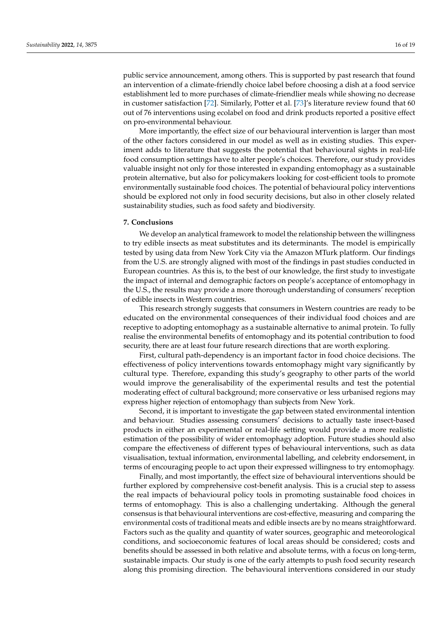public service announcement, among others. This is supported by past research that found an intervention of a climate-friendly choice label before choosing a dish at a food service establishment led to more purchases of climate-friendlier meals while showing no decrease in customer satisfaction [\[72\]](#page-18-21). Similarly, Potter et al. [\[73\]](#page-18-22)'s literature review found that 60 out of 76 interventions using ecolabel on food and drink products reported a positive effect on pro-environmental behaviour.

More importantly, the effect size of our behavioural intervention is larger than most of the other factors considered in our model as well as in existing studies. This experiment adds to literature that suggests the potential that behavioural sights in real-life food consumption settings have to alter people's choices. Therefore, our study provides valuable insight not only for those interested in expanding entomophagy as a sustainable protein alternative, but also for policymakers looking for cost-efficient tools to promote environmentally sustainable food choices. The potential of behavioural policy interventions should be explored not only in food security decisions, but also in other closely related sustainability studies, such as food safety and biodiversity.

## **7. Conclusions**

We develop an analytical framework to model the relationship between the willingness to try edible insects as meat substitutes and its determinants. The model is empirically tested by using data from New York City via the Amazon MTurk platform. Our findings from the U.S. are strongly aligned with most of the findings in past studies conducted in European countries. As this is, to the best of our knowledge, the first study to investigate the impact of internal and demographic factors on people's acceptance of entomophagy in the U.S., the results may provide a more thorough understanding of consumers' reception of edible insects in Western countries.

This research strongly suggests that consumers in Western countries are ready to be educated on the environmental consequences of their individual food choices and are receptive to adopting entomophagy as a sustainable alternative to animal protein. To fully realise the environmental benefits of entomophagy and its potential contribution to food security, there are at least four future research directions that are worth exploring.

First, cultural path-dependency is an important factor in food choice decisions. The effectiveness of policy interventions towards entomophagy might vary significantly by cultural type. Therefore, expanding this study's geography to other parts of the world would improve the generalisability of the experimental results and test the potential moderating effect of cultural background; more conservative or less urbanised regions may express higher rejection of entomophagy than subjects from New York.

Second, it is important to investigate the gap between stated environmental intention and behaviour. Studies assessing consumers' decisions to actually taste insect-based products in either an experimental or real-life setting would provide a more realistic estimation of the possibility of wider entomophagy adoption. Future studies should also compare the effectiveness of different types of behavioural interventions, such as data visualisation, textual information, environmental labelling, and celebrity endorsement, in terms of encouraging people to act upon their expressed willingness to try entomophagy.

Finally, and most importantly, the effect size of behavioural interventions should be further explored by comprehensive cost-benefit analysis. This is a crucial step to assess the real impacts of behavioural policy tools in promoting sustainable food choices in terms of entomophagy. This is also a challenging undertaking. Although the general consensus is that behavioural interventions are cost-effective, measuring and comparing the environmental costs of traditional meats and edible insects are by no means straightforward. Factors such as the quality and quantity of water sources, geographic and meteorological conditions, and socioeconomic features of local areas should be considered; costs and benefits should be assessed in both relative and absolute terms, with a focus on long-term, sustainable impacts. Our study is one of the early attempts to push food security research along this promising direction. The behavioural interventions considered in our study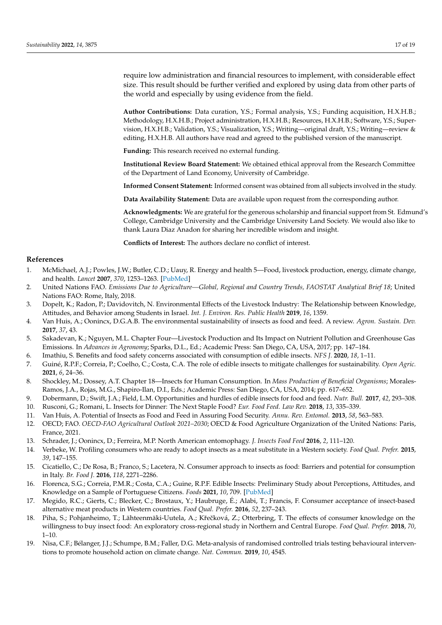require low administration and financial resources to implement, with considerable effect size. This result should be further verified and explored by using data from other parts of the world and especially by using evidence from the field.

**Author Contributions:** Data curation, Y.S.; Formal analysis, Y.S.; Funding acquisition, H.X.H.B.; Methodology, H.X.H.B.; Project administration, H.X.H.B.; Resources, H.X.H.B.; Software, Y.S.; Supervision, H.X.H.B.; Validation, Y.S.; Visualization, Y.S.; Writing—original draft, Y.S.; Writing—review & editing, H.X.H.B. All authors have read and agreed to the published version of the manuscript.

**Funding:** This research received no external funding.

**Institutional Review Board Statement:** We obtained ethical approval from the Research Committee of the Department of Land Economy, University of Cambridge.

**Informed Consent Statement:** Informed consent was obtained from all subjects involved in the study.

**Data Availability Statement:** Data are available upon request from the corresponding author.

**Acknowledgments:** We are grateful for the generous scholarship and financial support from St. Edmund's College, Cambridge University and the Cambridge University Land Society. We would also like to thank Laura Diaz Anadon for sharing her incredible wisdom and insight.

**Conflicts of Interest:** The authors declare no conflict of interest.

# **References**

- <span id="page-16-0"></span>1. McMichael, A.J.; Powles, J.W.; Butler, C.D.; Uauy, R. Energy and health 5—Food, livestock production, energy, climate change, and health. *Lancet* **2007**, *370*, 1253–1263. [\[PubMed\]](http://www.ncbi.nlm.nih.gov/pubmed/17868818)
- <span id="page-16-1"></span>2. United Nations FAO. *Emissions Due to Agriculture—Global, Regional and Country Trends, FAOSTAT Analytical Brief 18*; United Nations FAO: Rome, Italy, 2018.
- <span id="page-16-2"></span>3. Dopelt, K.; Radon, P.; Davidovitch, N. Environmental Effects of the Livestock Industry: The Relationship between Knowledge, Attitudes, and Behavior among Students in Israel. *Int. J. Environ. Res. Public Health* **2019**, *16*, 1359.
- <span id="page-16-3"></span>4. Van Huis, A.; Oonincx, D.G.A.B. The environmental sustainability of insects as food and feed. A review. *Agron. Sustain. Dev.* **2017**, *37*, 43.
- <span id="page-16-4"></span>5. Sakadevan, K.; Nguyen, M.L. Chapter Four—Livestock Production and Its Impact on Nutrient Pollution and Greenhouse Gas Emissions. In *Advances in Agronomy*; Sparks, D.L., Ed.; Academic Press: San Diego, CA, USA, 2017; pp. 147–184.
- <span id="page-16-5"></span>6. Imathiu, S. Benefits and food safety concerns associated with consumption of edible insects. *NFS J.* **2020**, *18*, 1–11.
- <span id="page-16-6"></span>7. Guiné, R.P.F.; Correia, P.; Coelho, C.; Costa, C.A. The role of edible insects to mitigate challenges for sustainability. *Open Agric.* **2021**, *6*, 24–36.
- <span id="page-16-7"></span>8. Shockley, M.; Dossey, A.T. Chapter 18—Insects for Human Consumption. In *Mass Production of Beneficial Organisms*; Morales-Ramos, J.A., Rojas, M.G., Shapiro-Ilan, D.I., Eds.; Academic Press: San Diego, CA, USA, 2014; pp. 617–652.
- <span id="page-16-8"></span>9. Dobermann, D.; Swift, J.A.; Field, L.M. Opportunities and hurdles of edible insects for food and feed. *Nutr. Bull.* **2017**, *42*, 293–308.
- <span id="page-16-9"></span>10. Rusconi, G.; Romani, L. Insects for Dinner: The Next Staple Food? *Eur. Food Feed. Law Rev.* **2018**, *13*, 335–339.
- <span id="page-16-10"></span>11. Van Huis, A. Potential of Insects as Food and Feed in Assuring Food Security. *Annu. Rev. Entomol.* **2013**, *58*, 563–583.
- <span id="page-16-11"></span>12. OECD; FAO. *OECD-FAO Agricultural Outlook 2021–2030*; OECD & Food Agriculture Organization of the United Nations: Paris, France, 2021.
- <span id="page-16-12"></span>13. Schrader, J.; Oonincx, D.; Ferreira, M.P. North American entomophagy. *J. Insects Food Feed* **2016**, *2*, 111–120.
- <span id="page-16-13"></span>14. Verbeke, W. Profiling consumers who are ready to adopt insects as a meat substitute in a Western society. *Food Qual. Prefer.* **2015**, *39*, 147–155.
- <span id="page-16-18"></span>15. Cicatiello, C.; De Rosa, B.; Franco, S.; Lacetera, N. Consumer approach to insects as food: Barriers and potential for consumption in Italy. *Br. Food J.* **2016**, *118*, 2271–2286.
- <span id="page-16-17"></span>16. Florenca, S.G.; Correia, P.M.R.; Costa, C.A.; Guine, R.P.F. Edible Insects: Preliminary Study about Perceptions, Attitudes, and Knowledge on a Sample of Portuguese Citizens. *Foods* **2021**, *10*, 709. [\[PubMed\]](http://www.ncbi.nlm.nih.gov/pubmed/33810486)
- <span id="page-16-16"></span>17. Megido, R.C.; Gierts, C.; Blecker, C.; Brostaux, Y.; Haubruge, É.; Alabi, T.; Francis, F. Consumer acceptance of insect-based alternative meat products in Western countries. *Food Qual. Prefer.* **2016**, *52*, 237–243.
- <span id="page-16-14"></span>18. Piha, S.; Pohjanheimo, T.; Lähteenmäki-Uutela, A.; Křečková, Z.; Otterbring, T. The effects of consumer knowledge on the willingness to buy insect food: An exploratory cross-regional study in Northern and Central Europe. *Food Qual. Prefer.* **2018**, *70*, 1–10.
- <span id="page-16-15"></span>19. Nisa, C.F.; Bélanger, J.J.; Schumpe, B.M.; Faller, D.G. Meta-analysis of randomised controlled trials testing behavioural interventions to promote household action on climate change. *Nat. Commun.* **2019**, *10*, 4545.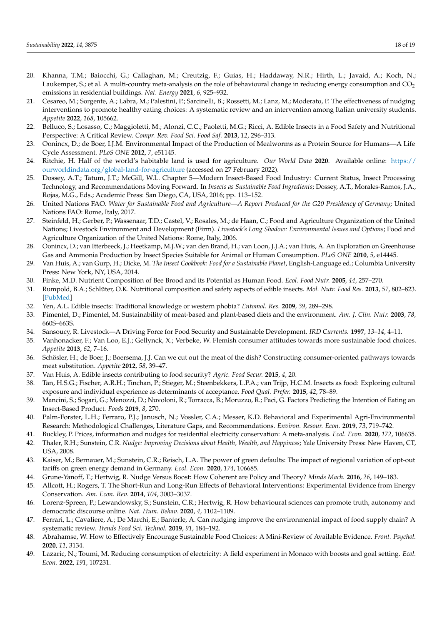- <span id="page-17-0"></span>20. Khanna, T.M.; Baiocchi, G.; Callaghan, M.; Creutzig, F.; Guias, H.; Haddaway, N.R.; Hirth, L.; Javaid, A.; Koch, N.; Laukemper, S.; et al. A multi-country meta-analysis on the role of behavioural change in reducing energy consumption and  $CO<sub>2</sub>$ emissions in residential buildings. *Nat. Energy* **2021**, *6*, 925–932.
- <span id="page-17-1"></span>21. Cesareo, M.; Sorgente, A.; Labra, M.; Palestini, P.; Sarcinelli, B.; Rossetti, M.; Lanz, M.; Moderato, P. The effectiveness of nudging interventions to promote healthy eating choices: A systematic review and an intervention among Italian university students. *Appetite* **2022**, *168*, 105662.
- <span id="page-17-2"></span>22. Belluco, S.; Losasso, C.; Maggioletti, M.; Alonzi, C.C.; Paoletti, M.G.; Ricci, A. Edible Insects in a Food Safety and Nutritional Perspective: A Critical Review. *Compr. Rev. Food Sci. Food Saf.* **2013**, *12*, 296–313.
- <span id="page-17-3"></span>23. Oonincx, D.; de Boer, I.J.M. Environmental Impact of the Production of Mealworms as a Protein Source for Humans—A Life Cycle Assessment. *PLoS ONE* **2012**, *7*, e51145.
- <span id="page-17-4"></span>24. Ritchie, H. Half of the world's habitable land is used for agriculture. *Our World Data* **2020**. Available online: [https://](https://ourworldindata.org/global-land-for-agriculture) [ourworldindata.org/global-land-for-agriculture](https://ourworldindata.org/global-land-for-agriculture) (accessed on 27 February 2022).
- <span id="page-17-5"></span>25. Dossey, A.T.; Tatum, J.T.; McGill, W.L. Chapter 5—Modern Insect-Based Food Industry: Current Status, Insect Processing Technology, and Recommendations Moving Forward. In *Insects as Sustainable Food Ingredients*; Dossey, A.T., Morales-Ramos, J.A., Rojas, M.G., Eds.; Academic Press: San Diego, CA, USA, 2016; pp. 113–152.
- <span id="page-17-6"></span>26. United Nations FAO. *Water for Sustainable Food and Agriculture—A Report Produced for the G20 Presidency of Germany*; United Nations FAO: Rome, Italy, 2017.
- <span id="page-17-7"></span>27. Steinfeld, H.; Gerber, P.; Wassenaar, T.D.; Castel, V.; Rosales, M.; de Haan, C.; Food and Agriculture Organization of the United Nations; Livestock Environment and Development (Firm). *Livestock's Long Shadow: Environmental Issues and Options*; Food and Agriculture Organization of the United Nations: Rome, Italy, 2006.
- <span id="page-17-8"></span>28. Oonincx, D.; van Itterbeeck, J.; Heetkamp, M.J.W.; van den Brand, H.; van Loon, J.J.A.; van Huis, A. An Exploration on Greenhouse Gas and Ammonia Production by Insect Species Suitable for Animal or Human Consumption. *PLoS ONE* **2010**, *5*, e14445.
- <span id="page-17-9"></span>29. Van Huis, A.; van Gurp, H.; Dicke, M. *The Insect Cookbook: Food for a Sustainable Planet*, English-Language ed.; Columbia University Press: New York, NY, USA, 2014.
- <span id="page-17-10"></span>30. Finke, M.D. Nutrient Composition of Bee Brood and its Potential as Human Food. *Ecol. Food Nutr.* **2005**, *44*, 257–270.
- <span id="page-17-11"></span>31. Rumpold, B.A.; Schlüter, O.K. Nutritional composition and safety aspects of edible insects. *Mol. Nutr. Food Res.* **2013**, *57*, 802–823. [\[PubMed\]](http://www.ncbi.nlm.nih.gov/pubmed/23471778)
- <span id="page-17-12"></span>32. Yen, A.L. Edible insects: Traditional knowledge or western phobia? *Entomol. Res.* **2009**, *39*, 289–298.
- <span id="page-17-13"></span>33. Pimentel, D.; Pimentel, M. Sustainability of meat-based and plant-based diets and the environment. *Am. J. Clin. Nutr.* **2003**, *78*, 660S–663S.
- <span id="page-17-14"></span>34. Sansoucy, R. Livestock—A Driving Force for Food Security and Sustainable Development. *IRD Currents.* **1997**, *13–14*, 4–11.
- <span id="page-17-15"></span>35. Vanhonacker, F.; Van Loo, E.J.; Gellynck, X.; Verbeke, W. Flemish consumer attitudes towards more sustainable food choices. *Appetite* **2013**, *62*, 7–16.
- <span id="page-17-16"></span>36. Schösler, H.; de Boer, J.; Boersema, J.J. Can we cut out the meat of the dish? Constructing consumer-oriented pathways towards meat substitution. *Appetite* **2012**, *58*, 39–47.
- <span id="page-17-17"></span>37. Van Huis, A. Edible insects contributing to food security? *Agric. Food Secur.* **2015**, *4*, 20.
- <span id="page-17-18"></span>38. Tan, H.S.G.; Fischer, A.R.H.; Tinchan, P.; Stieger, M.; Steenbekkers, L.P.A.; van Trijp, H.C.M. Insects as food: Exploring cultural exposure and individual experience as determinants of acceptance. *Food Qual. Prefer.* **2015**, *42*, 78–89.
- <span id="page-17-19"></span>39. Mancini, S.; Sogari, G.; Menozzi, D.; Nuvoloni, R.; Torracca, B.; Moruzzo, R.; Paci, G. Factors Predicting the Intention of Eating an Insect-Based Product. *Foods* **2019**, *8*, 270.
- <span id="page-17-20"></span>40. Palm-Forster, L.H.; Ferraro, P.J.; Janusch, N.; Vossler, C.A.; Messer, K.D. Behavioral and Experimental Agri-Environmental Research: Methodological Challenges, Literature Gaps, and Recommendations. *Environ. Resour. Econ.* **2019**, *73*, 719–742.
- <span id="page-17-21"></span>41. Buckley, P. Prices, information and nudges for residential electricity conservation: A meta-analysis. *Ecol. Econ.* **2020**, *172*, 106635.
- <span id="page-17-22"></span>42. Thaler, R.H.; Sunstein, C.R. *Nudge: Improving Decisions about Health, Wealth, and Happiness*; Yale University Press: New Haven, CT, USA, 2008.
- <span id="page-17-23"></span>43. Kaiser, M.; Bernauer, M.; Sunstein, C.R.; Reisch, L.A. The power of green defaults: The impact of regional variation of opt-out tariffs on green energy demand in Germany. *Ecol. Econ.* **2020**, *174*, 106685.
- <span id="page-17-24"></span>44. Grune-Yanoff, T.; Hertwig, R. Nudge Versus Boost: How Coherent are Policy and Theory? *Minds Mach.* **2016**, *26*, 149–183.
- <span id="page-17-25"></span>45. Allcott, H.; Rogers, T. The Short-Run and Long-Run Effects of Behavioral Interventions: Experimental Evidence from Energy Conservation. *Am. Econ. Rev.* **2014**, *104*, 3003–3037.
- <span id="page-17-26"></span>46. Lorenz-Spreen, P.; Lewandowsky, S.; Sunstein, C.R.; Hertwig, R. How behavioural sciences can promote truth, autonomy and democratic discourse online. *Nat. Hum. Behav.* **2020**, *4*, 1102–1109.
- <span id="page-17-27"></span>47. Ferrari, L.; Cavaliere, A.; De Marchi, E.; Banterle, A. Can nudging improve the environmental impact of food supply chain? A systematic review. *Trends Food Sci. Technol.* **2019**, *91*, 184–192.
- <span id="page-17-28"></span>48. Abrahamse, W. How to Effectively Encourage Sustainable Food Choices: A Mini-Review of Available Evidence. *Front. Psychol.* **2020**, *11*, 3134.
- <span id="page-17-29"></span>49. Lazaric, N.; Toumi, M. Reducing consumption of electricity: A field experiment in Monaco with boosts and goal setting. *Ecol. Econ.* **2022**, *191*, 107231.